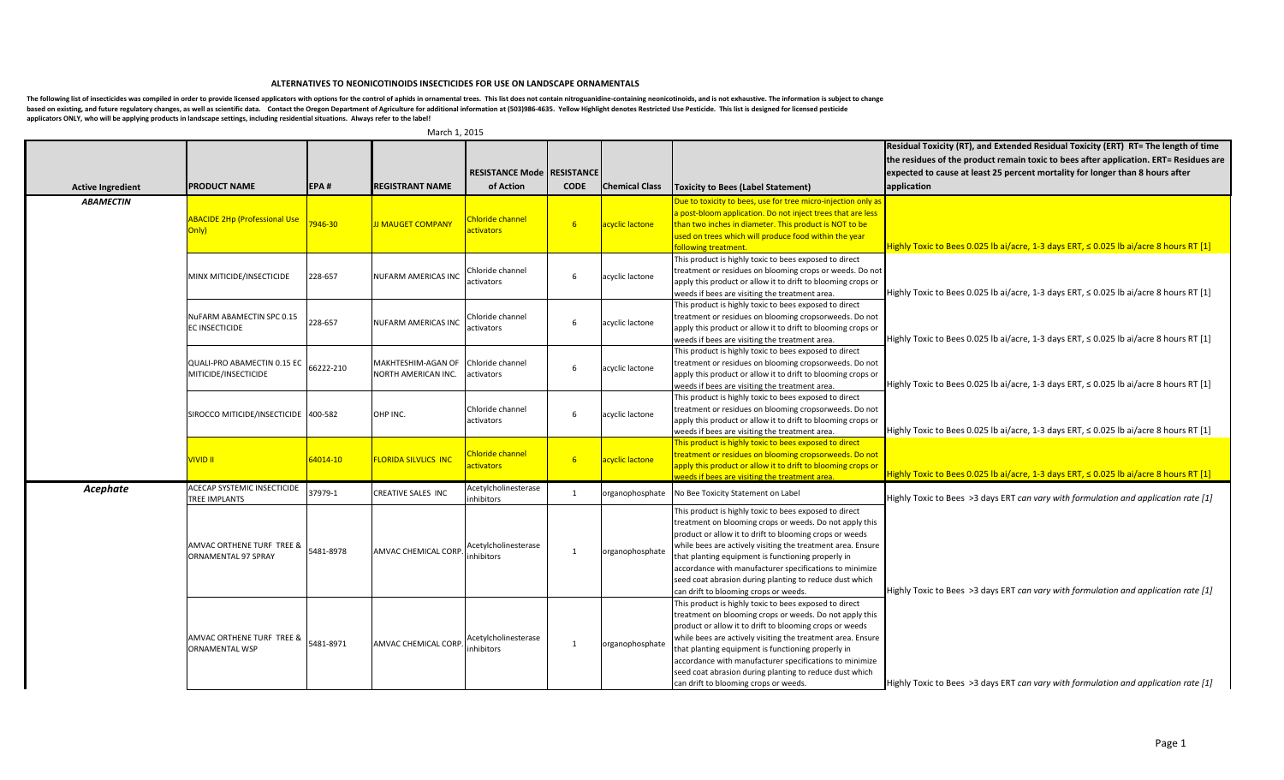## **ALTERNATIVES TO NEONICOTINOIDS INSECTICIDES FOR USE ON LANDSCAPE ORNAMENTALS**

The following list of insecticides was compiled in order to provide licensed applicators with options for the control of aphids in ornamental trees. This list does not contain nitroguanidine-containing neonicotinoids, and based on existing, and future regulatory changes, as well as scientific data. Contact the Oregon Department of Agriculture for additional information at (503)986-4635. Yellow Highlight denotes Restricted Use Pesticide. Thi applicators ONLY, who will be applying products in landscape settings, including residential situations. Always refer to the label!

|                          |                                                  |           |                            |                                       |                |                                                |                                                                                                                | Residual Toxicity (RT), and Extended Residual Toxicity (ERT) RT= The length of time         |
|--------------------------|--------------------------------------------------|-----------|----------------------------|---------------------------------------|----------------|------------------------------------------------|----------------------------------------------------------------------------------------------------------------|---------------------------------------------------------------------------------------------|
|                          |                                                  |           |                            |                                       |                |                                                |                                                                                                                | the residues of the product remain toxic to bees after application. ERT= Residues are       |
|                          |                                                  |           |                            | <b>RESISTANCE Mode   RESISTANCE  </b> |                |                                                |                                                                                                                | expected to cause at least 25 percent mortality for longer than 8 hours after               |
|                          | <b>PRODUCT NAME</b>                              | EPA#      | <b>REGISTRANT NAME</b>     | of Action                             | <b>CODE</b>    | <b>Chemical Class</b>                          |                                                                                                                |                                                                                             |
| <b>Active Ingredient</b> |                                                  |           |                            |                                       |                |                                                | <b>Toxicity to Bees (Label Statement)</b>                                                                      | application                                                                                 |
| <b>ABAMECTIN</b>         |                                                  |           |                            |                                       |                |                                                | Due to toxicity to bees, use for tree micro-injection only as                                                  |                                                                                             |
|                          | <b>ABACIDE 2Hp (Professional Use</b>             |           |                            | hloride channel                       |                |                                                | a post-bloom application. Do not inject trees that are less                                                    |                                                                                             |
|                          | Only)                                            | 7946-30   | <b>J MAUGET COMPANY</b>    | <b>ctivators</b>                      | 6 <sup>6</sup> | acyclic lactone                                | than two inches in diameter. This product is NOT to be                                                         |                                                                                             |
|                          |                                                  |           |                            |                                       |                |                                                | used on trees which will produce food within the year<br><b>Following treatment.</b>                           | Highly Toxic to Bees 0.025 lb ai/acre, 1-3 days ERT, $\leq$ 0.025 lb ai/acre 8 hours RT [1] |
|                          |                                                  |           |                            |                                       |                |                                                | This product is highly toxic to bees exposed to direct                                                         |                                                                                             |
|                          |                                                  |           |                            | Chloride channel                      |                |                                                | treatment or residues on blooming crops or weeds. Do not                                                       |                                                                                             |
|                          | MINX MITICIDE/INSECTICIDE                        | 228-657   | <b>NUFARM AMERICAS INC</b> | activators                            | 6              | acyclic lactone                                | apply this product or allow it to drift to blooming crops or                                                   |                                                                                             |
|                          |                                                  |           |                            |                                       |                | weeds if bees are visiting the treatment area. | Highly Toxic to Bees 0.025 lb ai/acre, 1-3 days ERT, ≤ 0.025 lb ai/acre 8 hours RT [1]                         |                                                                                             |
|                          |                                                  |           |                            |                                       |                |                                                | This product is highly toxic to bees exposed to direct                                                         |                                                                                             |
|                          | NuFARM ABAMECTIN SPC 0.15                        | 228-657   | NUFARM AMERICAS INC        | hloride channel                       | 6              | acyclic lactone                                | treatment or residues on blooming cropsorweeds. Do not                                                         |                                                                                             |
|                          | <b>EC INSECTICIDE</b>                            |           |                            | activators                            |                |                                                | apply this product or allow it to drift to blooming crops or                                                   |                                                                                             |
|                          |                                                  |           |                            |                                       |                |                                                | weeds if bees are visiting the treatment area.                                                                 | Highly Toxic to Bees 0.025 lb ai/acre, 1-3 days ERT, $\leq$ 0.025 lb ai/acre 8 hours RT [1] |
|                          |                                                  |           |                            |                                       |                |                                                | This product is highly toxic to bees exposed to direct                                                         |                                                                                             |
|                          | QUALI-PRO ABAMECTIN 0.15 EC                      | 66222-210 | MAKHTESHIM-AGAN OF         | Chloride channel                      | 6              | acyclic lactone                                | treatment or residues on blooming cropsorweeds. Do not                                                         |                                                                                             |
|                          | MITICIDE/INSECTICIDE                             |           | NORTH AMERICAN INC.        | activators                            |                |                                                | apply this product or allow it to drift to blooming crops or                                                   |                                                                                             |
|                          |                                                  |           |                            |                                       |                |                                                | weeds if bees are visiting the treatment area.                                                                 | Highly Toxic to Bees 0.025 lb ai/acre, 1-3 days ERT, $\leq$ 0.025 lb ai/acre 8 hours RT [1] |
|                          |                                                  |           |                            |                                       |                |                                                | This product is highly toxic to bees exposed to direct                                                         |                                                                                             |
|                          | SIROCCO MITICIDE/INSECTICIDE   400-582           |           | OHP INC.                   | Chloride channel                      | 6              | acyclic lactone                                | treatment or residues on blooming cropsorweeds. Do not                                                         |                                                                                             |
|                          |                                                  |           |                            | activators                            |                |                                                | apply this product or allow it to drift to blooming crops or<br>weeds if bees are visiting the treatment area. | Highly Toxic to Bees 0.025 lb ai/acre, 1-3 days ERT, ≤ 0.025 lb ai/acre 8 hours RT [1]      |
|                          |                                                  |           |                            |                                       |                |                                                | This product is highly toxic to bees exposed to direct                                                         |                                                                                             |
|                          |                                                  |           |                            | <b>Chloride channel</b>               |                |                                                | treatment or residues on blooming cropsorweeds. Do not                                                         |                                                                                             |
|                          | <b>UIVID II</b>                                  | 64014-10  | <b>LORIDA SILVLICS INC</b> | <b><u>activators</u></b>              | 6 <sup>6</sup> | acyclic lactone                                | apply this product or allow it to drift to blooming crops or                                                   |                                                                                             |
|                          |                                                  |           |                            |                                       |                |                                                | weeds if bees are visiting the treatment area.                                                                 | Highly Toxic to Bees 0.025 lb ai/acre, 1-3 days ERT, ≤ 0.025 lb ai/acre 8 hours RT [1]      |
| Acephate                 | ACECAP SYSTEMIC INSECTICIDE                      | 37979-1   | CREATIVE SALES INC         | Acetylcholinesterase                  | 1              | organophosphate                                | No Bee Toxicity Statement on Label                                                                             |                                                                                             |
|                          | <b>TREE IMPLANTS</b>                             |           |                            | nhibitors                             |                |                                                |                                                                                                                | Highly Toxic to Bees >3 days ERT can vary with formulation and application rate $[1]$       |
|                          |                                                  |           |                            |                                       |                |                                                | This product is highly toxic to bees exposed to direct                                                         |                                                                                             |
|                          |                                                  |           |                            |                                       |                |                                                | treatment on blooming crops or weeds. Do not apply this                                                        |                                                                                             |
|                          |                                                  |           |                            |                                       |                |                                                | product or allow it to drift to blooming crops or weeds                                                        |                                                                                             |
|                          | AMVAC ORTHENE TURF TREE &<br>ORNAMENTAL 97 SPRAY | 5481-8978 | <b>AMVAC CHEMICAL CORP</b> | Acetylcholinesterase<br>nhibitors     |                | organophosphate                                | while bees are actively visiting the treatment area. Ensure                                                    |                                                                                             |
|                          |                                                  |           |                            |                                       |                |                                                | that planting equipment is functioning properly in<br>accordance with manufacturer specifications to minimize  |                                                                                             |
|                          |                                                  |           |                            |                                       |                |                                                | seed coat abrasion during planting to reduce dust which                                                        |                                                                                             |
|                          |                                                  |           |                            |                                       |                |                                                | can drift to blooming crops or weeds.                                                                          | Highly Toxic to Bees >3 days ERT can vary with formulation and application rate [1]         |
|                          |                                                  |           |                            |                                       |                |                                                | This product is highly toxic to bees exposed to direct                                                         |                                                                                             |
|                          |                                                  |           |                            |                                       |                |                                                | treatment on blooming crops or weeds. Do not apply this                                                        |                                                                                             |
|                          |                                                  |           |                            |                                       |                |                                                | product or allow it to drift to blooming crops or weeds                                                        |                                                                                             |
|                          | AMVAC ORTHENE TURF TREE &                        |           | AMVAC CHEMICAL CORP        | Acetylcholinesterase<br>inhibitors    |                |                                                | while bees are actively visiting the treatment area. Ensure                                                    |                                                                                             |
|                          | <b>ORNAMENTAL WSP</b>                            | 5481-8971 |                            |                                       | $\mathbf{1}$   | organophosphate                                | that planting equipment is functioning properly in                                                             |                                                                                             |
|                          |                                                  |           |                            |                                       |                |                                                | accordance with manufacturer specifications to minimize                                                        |                                                                                             |
|                          |                                                  |           |                            |                                       |                |                                                | seed coat abrasion during planting to reduce dust which                                                        |                                                                                             |
|                          |                                                  |           |                            |                                       |                |                                                | can drift to blooming crops or weeds.                                                                          | Highly Toxic to Bees >3 days ERT can vary with formulation and application rate $[1]$       |

March 1, 2015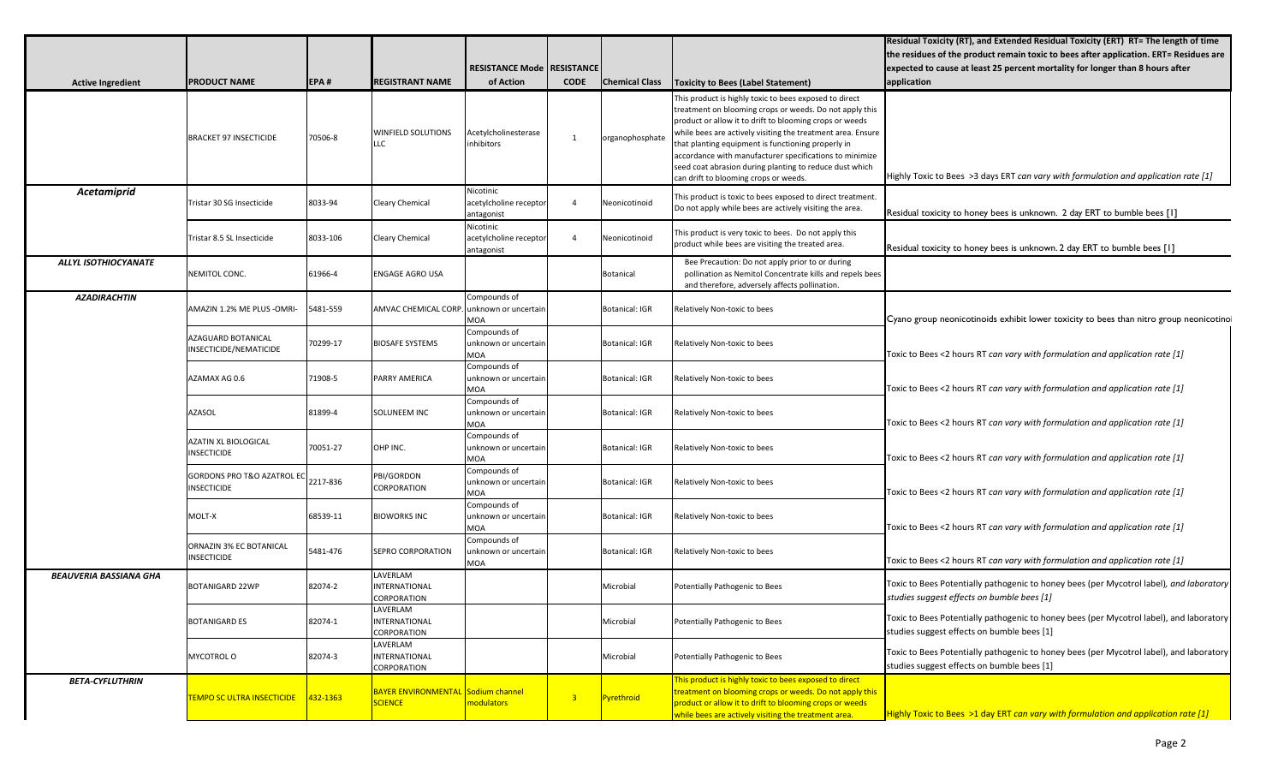|                               |                                                  |          |                                                      |                                                     |                |                       |                                                                                                                                                                                                                                                                                                                                                                                                                                                                  | Residual Toxicity (RT), and Extended Residual Toxicity (ERT) RT= The length of time<br>the residues of the product remain toxic to bees after application. ERT= Residues are |
|-------------------------------|--------------------------------------------------|----------|------------------------------------------------------|-----------------------------------------------------|----------------|-----------------------|------------------------------------------------------------------------------------------------------------------------------------------------------------------------------------------------------------------------------------------------------------------------------------------------------------------------------------------------------------------------------------------------------------------------------------------------------------------|------------------------------------------------------------------------------------------------------------------------------------------------------------------------------|
|                               |                                                  |          |                                                      | RESISTANCE Mode   RESISTANCE                        |                |                       |                                                                                                                                                                                                                                                                                                                                                                                                                                                                  | expected to cause at least 25 percent mortality for longer than 8 hours after                                                                                                |
| <b>Active Ingredient</b>      | <b>PRODUCT NAME</b>                              | EPA#     | <b>REGISTRANT NAME</b>                               | of Action                                           | <b>CODE</b>    | <b>Chemical Class</b> | <b>Toxicity to Bees (Label Statement)</b>                                                                                                                                                                                                                                                                                                                                                                                                                        | application                                                                                                                                                                  |
|                               | <b>BRACKET 97 INSECTICIDE</b>                    | 70506-8  | <b>WINFIELD SOLUTIONS</b><br>LLC                     | Acetylcholinesterase<br>inhibitors                  | 1              | organophosphate       | This product is highly toxic to bees exposed to direct<br>treatment on blooming crops or weeds. Do not apply this<br>product or allow it to drift to blooming crops or weeds<br>while bees are actively visiting the treatment area. Ensure<br>that planting equipment is functioning properly in<br>accordance with manufacturer specifications to minimize<br>seed coat abrasion during planting to reduce dust which<br>can drift to blooming crops or weeds. | Highly Toxic to Bees >3 days ERT can vary with formulation and application rate [1]                                                                                          |
| Acetamiprid                   | Tristar 30 SG Insecticide                        | 8033-94  | <b>Cleary Chemical</b>                               | Nicotinic<br>acetylcholine recepto<br>antagonist    | $\Delta$       | Neonicotinoid         | This product is toxic to bees exposed to direct treatment.<br>Do not apply while bees are actively visiting the area.                                                                                                                                                                                                                                                                                                                                            | Residual toxicity to honey bees is unknown. 2 day ERT to bumble bees [1]                                                                                                     |
|                               | Tristar 8.5 SL Insecticide                       | 8033-106 | Cleary Chemical                                      | Nicotinic<br>acetylcholine receptor<br>antagonist   | $\overline{4}$ | Neonicotinoid         | This product is very toxic to bees. Do not apply this<br>product while bees are visiting the treated area.                                                                                                                                                                                                                                                                                                                                                       | Residual toxicity to honey bees is unknown. 2 day ERT to bumble bees [1]                                                                                                     |
| ALLYL ISOTHIOCYANATE          | NEMITOL CONC.                                    | 61966-4  | ENGAGE AGRO USA                                      |                                                     |                | Botanical             | Bee Precaution: Do not apply prior to or during<br>pollination as Nemitol Concentrate kills and repels bees<br>and therefore, adversely affects pollination.                                                                                                                                                                                                                                                                                                     |                                                                                                                                                                              |
| <b>AZADIRACHTIN</b>           | AMAZIN 1.2% ME PLUS - OMRI-                      | 5481-559 | AMVAC CHEMICAL CORP.                                 | Compounds of<br>Junknown or uncertain<br><b>MOA</b> |                | <b>Botanical: IGR</b> | Relatively Non-toxic to bees                                                                                                                                                                                                                                                                                                                                                                                                                                     | Cyano group neonicotinoids exhibit lower toxicity to bees than nitro group neonicotino                                                                                       |
|                               | AZAGUARD BOTANICAL<br>INSECTICIDE/NEMATICIDE     | 70299-17 | <b>BIOSAFE SYSTEMS</b>                               | Compounds of<br>unknown or uncertain<br>MOA         |                | <b>Botanical: IGR</b> | Relatively Non-toxic to bees                                                                                                                                                                                                                                                                                                                                                                                                                                     | Toxic to Bees <2 hours RT can vary with formulation and application rate [1]                                                                                                 |
|                               | AZAMAX AG 0.6                                    | 71908-5  | PARRY AMERICA                                        | Compounds of<br>unknown or uncertain<br><b>MOA</b>  |                | <b>Botanical: IGR</b> | Relatively Non-toxic to bees                                                                                                                                                                                                                                                                                                                                                                                                                                     | Toxic to Bees <2 hours RT can vary with formulation and application rate $[1]$                                                                                               |
|                               | <b>AZASOL</b>                                    | 81899-4  | SOLUNEEM INC                                         | Compounds of<br>unknown or uncertain<br><b>MOA</b>  |                | <b>Botanical: IGR</b> | Relatively Non-toxic to bees                                                                                                                                                                                                                                                                                                                                                                                                                                     | Toxic to Bees <2 hours RT can vary with formulation and application rate $[1]$                                                                                               |
|                               | <b>AZATIN XL BIOLOGICAL</b><br>INSECTICIDE       | 70051-27 | OHP INC.                                             | Compounds of<br>unknown or uncertain<br><b>MOA</b>  |                | <b>Botanical: IGR</b> | Relatively Non-toxic to bees                                                                                                                                                                                                                                                                                                                                                                                                                                     | Toxic to Bees <2 hours RT can vary with formulation and application rate [1]                                                                                                 |
|                               | GORDONS PRO T&O AZATROL EC<br><b>INSECTICIDE</b> | 2217-836 | PBI/GORDON<br>CORPORATION                            | Compounds of<br>unknown or uncertain<br><b>MOA</b>  |                | <b>Botanical: IGR</b> | Relatively Non-toxic to bees                                                                                                                                                                                                                                                                                                                                                                                                                                     | Toxic to Bees <2 hours RT can vary with formulation and application rate [1]                                                                                                 |
|                               | MOLT-X                                           | 68539-11 | <b>BIOWORKS INC</b>                                  | Compounds of<br>unknown or uncertain<br><b>MOA</b>  |                | <b>Botanical: IGR</b> | Relatively Non-toxic to bees                                                                                                                                                                                                                                                                                                                                                                                                                                     | Toxic to Bees <2 hours RT can vary with formulation and application rate $[1]$                                                                                               |
|                               | ORNAZIN 3% EC BOTANICAL<br><b>INSECTICIDE</b>    | 5481-476 | <b>SEPRO CORPORATION</b>                             | Compounds of<br>unknown or uncertain<br><b>MOA</b>  |                | <b>Botanical: IGR</b> | Relatively Non-toxic to bees                                                                                                                                                                                                                                                                                                                                                                                                                                     | Toxic to Bees <2 hours RT can vary with formulation and application rate $[1]$                                                                                               |
| <b>BEAUVERIA BASSIANA GHA</b> | <b>BOTANIGARD 22WP</b>                           | 82074-2  | LAVERLAM<br>INTERNATIONAL<br>CORPORATION             |                                                     |                | Microbial             | Potentially Pathogenic to Bees                                                                                                                                                                                                                                                                                                                                                                                                                                   | Toxic to Bees Potentially pathogenic to honey bees (per Mycotrol label) <i>, and laboratory</i><br>studies suggest effects on bumble bees [1]                                |
|                               | <b>BOTANIGARD ES</b>                             | 82074-1  | LAVERLAM<br>INTERNATIONAL<br>CORPORATION             |                                                     |                | Microbial             | Potentially Pathogenic to Bees                                                                                                                                                                                                                                                                                                                                                                                                                                   | Toxic to Bees Potentially pathogenic to honey bees (per Mycotrol label), and laboratory<br>studies suggest effects on bumble bees [1]                                        |
|                               | MYCOTROL O                                       | 82074-3  | LAVERLAM<br>INTERNATIONAL<br>CORPORATION             |                                                     |                | Microbial             | Potentially Pathogenic to Bees                                                                                                                                                                                                                                                                                                                                                                                                                                   | Toxic to Bees Potentially pathogenic to honey bees (per Mycotrol label), and laboratory<br>studies suggest effects on bumble bees [1]                                        |
| <b>BETA-CYFLUTHRIN</b>        | <b>TEMPO SC ULTRA INSECTICIDE</b>                | 432-1363 | BAYER ENVIRONMENTAL Sodium channel<br><b>SCIENCE</b> | modulators                                          | $\overline{3}$ | Pyrethroid            | This product is highly toxic to bees exposed to direct<br>treatment on blooming crops or weeds. Do not apply this<br>product or allow it to drift to blooming crops or weeds<br>while bees are actively visiting the treatment area.                                                                                                                                                                                                                             | Highly Toxic to Bees >1 day ERT can vary with formulation and application rate [1]                                                                                           |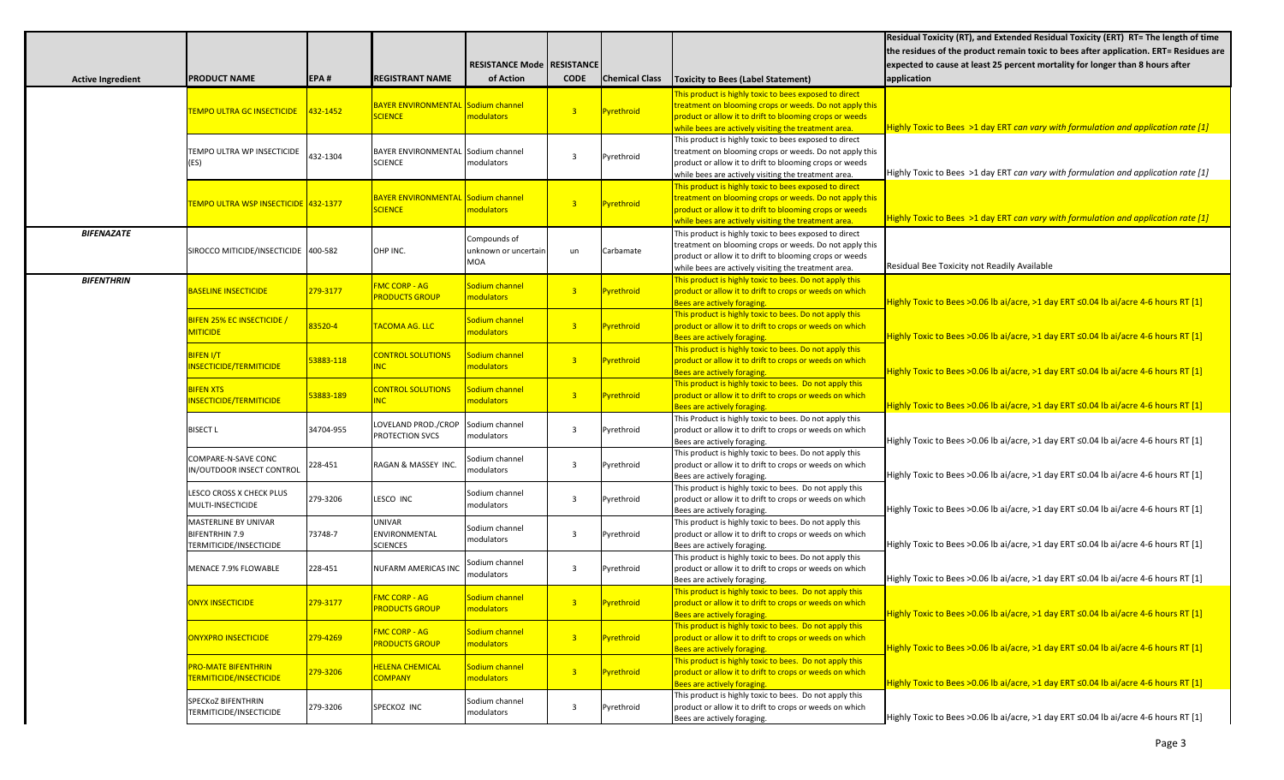|                          |                                                                          |           |                                                      |                                             |                |                       |                                                                                                                                                                                                                                      | Residual Toxicity (RT), and Extended Residual Toxicity (ERT) RT= The length of time<br>the residues of the product remain toxic to bees after application. ERT= Residues are |
|--------------------------|--------------------------------------------------------------------------|-----------|------------------------------------------------------|---------------------------------------------|----------------|-----------------------|--------------------------------------------------------------------------------------------------------------------------------------------------------------------------------------------------------------------------------------|------------------------------------------------------------------------------------------------------------------------------------------------------------------------------|
|                          |                                                                          |           |                                                      |                                             |                |                       |                                                                                                                                                                                                                                      |                                                                                                                                                                              |
|                          |                                                                          |           |                                                      | RESISTANCE Mode   RESISTANCE                |                |                       |                                                                                                                                                                                                                                      | expected to cause at least 25 percent mortality for longer than 8 hours after                                                                                                |
| <b>Active Ingredient</b> | <b>PRODUCT NAME</b>                                                      | EPA#      | <b>REGISTRANT NAME</b>                               | of Action                                   | <b>CODE</b>    | <b>Chemical Class</b> | <b>Toxicity to Bees (Label Statement)</b>                                                                                                                                                                                            | application                                                                                                                                                                  |
|                          | TEMPO ULTRA GC INSECTICIDE                                               | 432-1452  | BAYER ENVIRONMENTAL Sodium channel<br><b>SCIENCE</b> | modulators                                  | $\overline{3}$ | Pyrethroid            | This product is highly toxic to bees exposed to direct<br>reatment on blooming crops or weeds. Do not apply this<br>product or allow it to drift to blooming crops or weeds<br>while bees are actively visiting the treatment area.  | Highly Toxic to Bees >1 day ERT can vary with formulation and application rate [1]                                                                                           |
|                          | TEMPO ULTRA WP INSECTICIDE<br>(ES)                                       | 432-1304  | BAYER ENVIRONMENTAL Sodium channel<br><b>SCIENCE</b> | modulators                                  | 3              | Pyrethroid            | This product is highly toxic to bees exposed to direct<br>treatment on blooming crops or weeds. Do not apply this<br>product or allow it to drift to blooming crops or weeds<br>while bees are actively visiting the treatment area. | Highly Toxic to Bees >1 day ERT can vary with formulation and application rate $[1]$                                                                                         |
|                          | TEMPO ULTRA WSP INSECTICIDE 1432-1377                                    |           | BAYER ENVIRONMENTAL Sodium channel<br><b>SCIENCE</b> | modulators                                  | $\overline{3}$ | Pyrethroid            | This product is highly toxic to bees exposed to direct<br>reatment on blooming crops or weeds. Do not apply this<br>product or allow it to drift to blooming crops or weeds<br>while bees are actively visiting the treatment area.  | Highly Toxic to Bees >1 day ERT can vary with formulation and application rate [1]                                                                                           |
| <b>BIFENAZATE</b>        | SIROCCO MITICIDE/INSECTICIDE 400-582                                     |           | OHP INC.                                             | Compounds of<br>unknown or uncertain<br>MOA | un             | Carbamate             | This product is highly toxic to bees exposed to direct<br>treatment on blooming crops or weeds. Do not apply this<br>product or allow it to drift to blooming crops or weeds<br>while bees are actively visiting the treatment area. | Residual Bee Toxicity not Readily Available                                                                                                                                  |
| <b>BIFENTHRIN</b>        | <b>BASELINE INSECTICIDE</b>                                              | 279-3177  | <b>FMC CORP - AG</b><br><b>PRODUCTS GROUP</b>        | Sodium channel<br>nodulators                | 3 <sup>7</sup> | Pyrethroid            | This product is highly toxic to bees. Do not apply this<br>product or allow it to drift to crops or weeds on which<br>Bees are actively foraging.                                                                                    | Highly Toxic to Bees >0.06 lb ai/acre, >1 day ERT $\leq$ 0.04 lb ai/acre 4-6 hours RT [1]                                                                                    |
|                          | BIFEN 25% EC INSECTICIDE /<br><b>MITICIDE</b>                            | 83520-4   | TACOMA AG. LLC                                       | iodium channel<br>nodulators                | 3 <sup>7</sup> | Pyrethroid            | This product is highly toxic to bees. Do not apply this<br>product or allow it to drift to crops or weeds on which<br>Bees are actively foraging.                                                                                    | Highly Toxic to Bees >0.06 lb ai/acre, >1 day ERT ≤0.04 lb ai/acre 4-6 hours RT [1]                                                                                          |
|                          | <b>BIFEN I/T</b><br><b>INSECTICIDE/TERMITICIDE</b>                       | 53883-118 | <b>CONTROL SOLUTIONS</b><br><b>NC</b>                | Godium channel<br>nodulators                | 3 <sup>7</sup> | <b>Pyrethroid</b>     | This product is highly toxic to bees. Do not apply this<br>product or allow it to drift to crops or weeds on which<br>Bees are actively foraging.                                                                                    | Highly Toxic to Bees > 0.06 lb ai/acre, >1 day ERT $\leq$ 0.04 lb ai/acre 4-6 hours RT [1]                                                                                   |
|                          | <b>BIFEN XTS</b><br>INSECTICIDE/TERMITICIDE                              | 53883-189 | <b>CONTROL SOLUTIONS</b>                             | iodium channel<br>modulators                | 3 <sup>7</sup> | <b>Pyrethroid</b>     | This product is highly toxic to bees. Do not apply this<br>product or allow it to drift to crops or weeds on which<br>Bees are actively foraging.                                                                                    | Highly Toxic to Bees >0.06 lb ai/acre, >1 day ERT ≤0.04 lb ai/acre 4-6 hours RT [1]                                                                                          |
|                          | <b>BISECT L</b>                                                          | 34704-955 | LOVELAND PROD./CROP<br>PROTECTION SVCS               | Sodium channel<br>modulators                | 3              | Pyrethroid            | This Product is highly toxic to bees. Do not apply this<br>product or allow it to drift to crops or weeds on which<br>Bees are actively foraging.                                                                                    | Highly Toxic to Bees > 0.06 lb ai/acre, > 1 day ERT $\leq$ 0.04 lb ai/acre 4-6 hours RT [1]                                                                                  |
|                          | COMPARE-N-SAVE CONC<br>N/OUTDOOR INSECT CONTROL                          | 228-451   | RAGAN & MASSEY INC.                                  | Sodium channel<br>modulators                | $\overline{3}$ | Pyrethroid            | This product is highly toxic to bees. Do not apply this<br>product or allow it to drift to crops or weeds on which<br>Bees are actively foraging.                                                                                    | Highly Toxic to Bees >0.06 lb ai/acre, >1 day ERT ≤0.04 lb ai/acre 4-6 hours RT [1]                                                                                          |
|                          | LESCO CROSS X CHECK PLUS<br>MULTI-INSECTICIDE                            | 279-3206  | LESCO INC                                            | Sodium channel<br>modulators                | $\overline{3}$ | Pyrethroid            | This product is highly toxic to bees. Do not apply this<br>product or allow it to drift to crops or weeds on which<br>Bees are actively foraging.                                                                                    | Highly Toxic to Bees >0.06 lb ai/acre, >1 day ERT ≤0.04 lb ai/acre 4-6 hours RT [1]                                                                                          |
|                          | MASTERLINE BY UNIVAR<br><b>BIFENTRHIN 7.9</b><br>TERMITICIDE/INSECTICIDE | 73748-7   | UNIVAR<br>ENVIRONMENTAL<br><b>SCIENCES</b>           | Sodium channel<br>modulators                | 3              | Pyrethroid            | This product is highly toxic to bees. Do not apply this<br>product or allow it to drift to crops or weeds on which<br>Bees are actively foraging.                                                                                    | Highly Toxic to Bees >0.06 lb ai/acre, >1 day ERT ≤0.04 lb ai/acre 4-6 hours RT [1]                                                                                          |
|                          | MENACE 7.9% FLOWABLE                                                     | 228-451   | NUFARM AMERICAS INC                                  | Sodium channel<br>modulators                | 3              | Pyrethroid            | This product is highly toxic to bees. Do not apply this<br>product or allow it to drift to crops or weeds on which<br>Bees are actively foraging.                                                                                    | Highly Toxic to Bees >0.06 lb ai/acre, >1 day ERT ≤0.04 lb ai/acre 4-6 hours RT [1]                                                                                          |
|                          | ONYX INSECTICIDE                                                         | 279-3177  | <b>FMC CORP - AG</b><br><b>PRODUCTS GROUP</b>        | Sodium channel<br>modulators                |                | <b>Pyrethroid</b>     | This product is highly toxic to bees. Do not apply this<br>roduct or allow it to drift to crops or weeds on which<br>Bees are actively foraging.                                                                                     | Highly Toxic to Bees >0.06 lb ai/acre, >1 day ERT ≤0.04 lb ai/acre 4-6 hours RT [1]                                                                                          |
|                          | <b>ONYXPRO INSECTICIDE</b>                                               | 279-4269  | <b>FMC CORP - AG</b><br><b>PRODUCTS GROUP</b>        | Sodium channel<br>modulators                | 3 <sup>7</sup> | Pyrethroid            | This product is highly toxic to bees. Do not apply this<br>product or allow it to drift to crops or weeds on which<br>Bees are actively foraging.                                                                                    | Highly Toxic to Bees > 0.06 lb ai/acre, > 1 day ERT $\leq$ 0.04 lb ai/acre 4-6 hours RT [1]                                                                                  |
|                          | <b>PRO-MATE BIFENTHRIN</b><br><b>TERMITICIDE/INSECTICIDE</b>             | 279-3206  | <b>HELENA CHEMICAL</b><br><b>COMPANY</b>             | iodium channel<br>modulators                | 3 <sup>7</sup> | Pyrethroid            | This product is highly toxic to bees. Do not apply this<br>product or allow it to drift to crops or weeds on which<br>Bees are actively foraging.                                                                                    | Highly Toxic to Bees >0.06 lb ai/acre, >1 day ERT ≤0.04 lb ai/acre 4-6 hours RT [1]                                                                                          |
|                          | SPECKOZ BIFENTHRIN<br>TERMITICIDE/INSECTICIDE                            | 279-3206  | SPECKOZ INC                                          | Sodium channel<br>modulators                | 3              | Pyrethroid            | This product is highly toxic to bees. Do not apply this<br>product or allow it to drift to crops or weeds on which<br>Bees are actively foraging.                                                                                    | Highly Toxic to Bees >0.06 lb ai/acre, >1 day ERT ≤0.04 lb ai/acre 4-6 hours RT [1]                                                                                          |
|                          |                                                                          |           |                                                      |                                             |                |                       |                                                                                                                                                                                                                                      |                                                                                                                                                                              |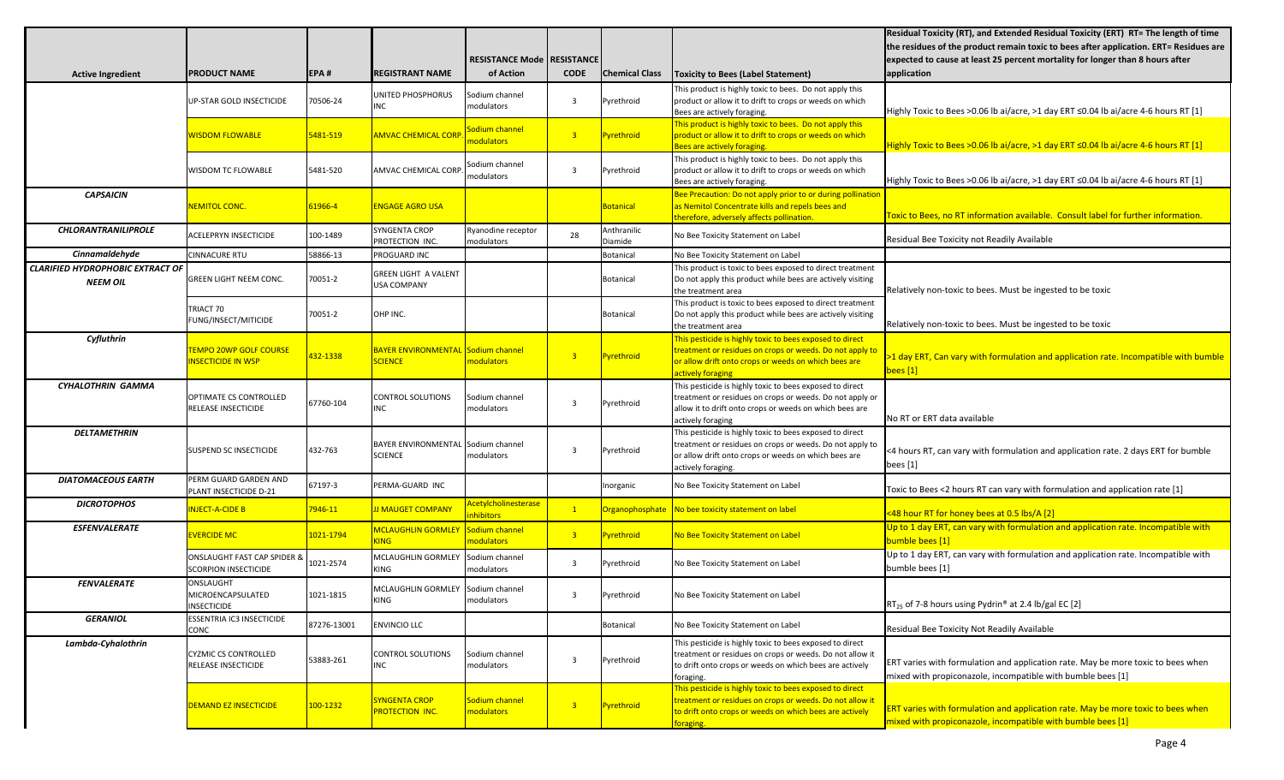|                                         |                                                                       |             |                                                   |                                          |                |                       |                                                                                                                     | Residual Toxicity (RT), and Extended Residual Toxicity (ERT) RT= The length of time       |
|-----------------------------------------|-----------------------------------------------------------------------|-------------|---------------------------------------------------|------------------------------------------|----------------|-----------------------|---------------------------------------------------------------------------------------------------------------------|-------------------------------------------------------------------------------------------|
|                                         |                                                                       |             |                                                   |                                          |                |                       |                                                                                                                     | the residues of the product remain toxic to bees after application. ERT= Residues are     |
|                                         |                                                                       |             |                                                   | <b>RESISTANCE Mode   RESISTANCE  </b>    |                |                       |                                                                                                                     | expected to cause at least 25 percent mortality for longer than 8 hours after             |
| <b>Active Ingredient</b>                | <b>PRODUCT NAME</b>                                                   | EPA#        | <b>REGISTRANT NAME</b>                            | of Action                                | <b>CODE</b>    | <b>Chemical Class</b> | <b>Toxicity to Bees (Label Statement)</b>                                                                           | application                                                                               |
|                                         |                                                                       |             | UNITED PHOSPHORUS                                 | Sodium channel                           |                |                       | This product is highly toxic to bees. Do not apply this                                                             |                                                                                           |
|                                         | UP-STAR GOLD INSECTICIDE                                              | 70506-24    | INC                                               | modulators                               | $\overline{3}$ | Pyrethroid            | product or allow it to drift to crops or weeds on which                                                             |                                                                                           |
|                                         |                                                                       |             |                                                   |                                          |                |                       | Bees are actively foraging.                                                                                         | Highly Toxic to Bees >0.06 lb ai/acre, >1 day ERT ≤0.04 lb ai/acre 4-6 hours RT [1]       |
|                                         | <b>NISDOM FLOWABLE</b>                                                | 5481-519    | <b>IMVAC CHEMICAL CORF</b>                        | Sodium channel                           | 3 <sup>7</sup> | <b>Pyrethroid</b>     | This product is highly toxic to bees. Do not apply this<br>product or allow it to drift to crops or weeds on which  |                                                                                           |
|                                         |                                                                       |             |                                                   | nodulators                               |                |                       | Bees are actively foraging.                                                                                         | Highly Toxic to Bees >0.06 lb ai/acre, >1 day ERT $\leq$ 0.04 lb ai/acre 4-6 hours RT [1] |
|                                         |                                                                       |             |                                                   |                                          |                |                       | This product is highly toxic to bees. Do not apply this                                                             |                                                                                           |
|                                         | <b>WISDOM TC FLOWABLE</b>                                             | 5481-520    | <b>AMVAC CHEMICAL CORF</b>                        | Sodium channel<br>modulators             | 3              | Pyrethroid            | product or allow it to drift to crops or weeds on which                                                             |                                                                                           |
|                                         |                                                                       |             |                                                   |                                          |                |                       | Bees are actively foraging.                                                                                         | Highly Toxic to Bees >0.06 lb ai/acre, >1 day ERT ≤0.04 lb ai/acre 4-6 hours RT [1]       |
| <b>CAPSAICIN</b>                        |                                                                       |             |                                                   |                                          |                |                       | Bee Precaution: Do not apply prior to or during pollination                                                         |                                                                                           |
|                                         | <b>NEMITOL CONC.</b>                                                  | 61966-4     | <b>ENGAGE AGRO USA</b>                            |                                          |                | <b>Botanical</b>      | as Nemitol Concentrate kills and repels bees and<br>therefore, adversely affects pollination.                       | Toxic to Bees, no RT information available. Consult label for further information.        |
| <b>CHLORANTRANILIPROLE</b>              |                                                                       |             | <b>SYNGENTA CROP</b>                              | Ryanodine receptor                       |                | Anthranilic           |                                                                                                                     |                                                                                           |
|                                         | ACELEPRYN INSECTICIDE                                                 | 100-1489    | PROTECTION INC.                                   | modulators                               | 28             | Diamide               | No Bee Toxicity Statement on Label                                                                                  | Residual Bee Toxicity not Readily Available                                               |
| Cinnamaldehyde                          | <b>CINNACURE RTU</b>                                                  | 58866-13    | PROGUARD INC                                      |                                          |                | <b>Botanical</b>      | No Bee Toxicity Statement on Label                                                                                  |                                                                                           |
| <b>CLARIFIED HYDROPHOBIC EXTRACT OF</b> |                                                                       |             |                                                   |                                          |                |                       | This product is toxic to bees exposed to direct treatment                                                           |                                                                                           |
| <b>NEEM OIL</b>                         | <b>GREEN LIGHT NEEM CONC.</b>                                         | 70051-2     | <b>GREEN LIGHT A VALENT</b><br><b>USA COMPANY</b> |                                          |                | Botanical             | Do not apply this product while bees are actively visiting                                                          |                                                                                           |
|                                         |                                                                       |             |                                                   |                                          |                |                       | the treatment area                                                                                                  | Relatively non-toxic to bees. Must be ingested to be toxic                                |
|                                         | TRIACT 70                                                             |             |                                                   |                                          |                |                       | This product is toxic to bees exposed to direct treatment                                                           |                                                                                           |
|                                         | FUNG/INSECT/MITICIDE                                                  | 70051-2     | OHP INC.                                          |                                          |                | Botanical             | Do not apply this product while bees are actively visiting                                                          | Relatively non-toxic to bees. Must be ingested to be toxic                                |
| Cyfluthrin                              |                                                                       |             |                                                   |                                          |                |                       | the treatment area<br>This pesticide is highly toxic to bees exposed to direct                                      |                                                                                           |
|                                         | <b>EMPO 20WP GOLF COURSE</b>                                          |             | <b>AYER ENVIRONMENTAL Sodium channel</b>          |                                          |                |                       | treatment or residues on crops or weeds. Do not apply to                                                            |                                                                                           |
|                                         | <b>INSECTICIDE IN WSP</b>                                             | 132-1338    | <b>SCIENCE</b>                                    | nodulators                               | 3 <sup>°</sup> | <b>Pyrethroid</b>     | or allow drift onto crops or weeds on which bees are                                                                | 1 day ERT, Can vary with formulation and application rate. Incompatible with bumble       |
|                                         |                                                                       |             |                                                   |                                          |                |                       | actively foraging                                                                                                   | bees [1]                                                                                  |
| CYHALOTHRIN GAMMA                       |                                                                       |             |                                                   |                                          |                |                       | This pesticide is highly toxic to bees exposed to direct                                                            |                                                                                           |
|                                         | OPTIMATE CS CONTROLLED                                                | 67760-104   | <b>CONTROL SOLUTIONS</b>                          | Sodium channel                           | $\overline{3}$ | Pyrethroid            | treatment or residues on crops or weeds. Do not apply or                                                            |                                                                                           |
|                                         | RELEASE INSECTICIDE                                                   |             | INC                                               | modulators                               |                |                       | allow it to drift onto crops or weeds on which bees are                                                             | No RT or ERT data available                                                               |
| <b>DELTAMETHRIN</b>                     |                                                                       |             |                                                   |                                          |                |                       | actively foraging<br>This pesticide is highly toxic to bees exposed to direct                                       |                                                                                           |
|                                         |                                                                       |             | BAYER ENVIRONMENTAL Sodium channel                |                                          |                |                       | treatment or residues on crops or weeds. Do not apply to                                                            |                                                                                           |
|                                         | <b>SUSPEND SC INSECTICIDE</b>                                         | 432-763     | <b>SCIENCE</b>                                    | modulators                               | 3              | Pyrethroid            | or allow drift onto crops or weeds on which bees are                                                                | <4 hours RT, can vary with formulation and application rate. 2 days ERT for bumble        |
|                                         |                                                                       |             |                                                   |                                          |                |                       | actively foraging.                                                                                                  | bees [1]                                                                                  |
| <b>DIATOMACEOUS EARTH</b>               | PERM GUARD GARDEN AND                                                 | 67197-3     | PERMA-GUARD INC                                   |                                          |                | Inorganic             | No Bee Toxicity Statement on Label                                                                                  |                                                                                           |
|                                         | PLANT INSECTICIDE D-21                                                |             |                                                   |                                          |                |                       |                                                                                                                     | Toxic to Bees <2 hours RT can vary with formulation and application rate [1]              |
| <b>DICROTOPHOS</b>                      | NJECT-A-CIDE B                                                        | 946-11      | <b>I MAUGET COMPANY</b>                           | <b>Acetylcholinesterase</b><br>nhibitors | $\mathbf{1}$   | Organophosphate       | No bee toxicity statement on label                                                                                  | <48 hour RT for honey bees at 0.5 lbs/A [2]                                               |
| <b>ESFENVALERATE</b>                    |                                                                       |             | <b>ACLAUGHLIN GORMLEY</b>                         | Sodium channel                           |                |                       |                                                                                                                     | Up to 1 day ERT, can vary with formulation and application rate. Incompatible with        |
|                                         | <b>EVERCIDE MC</b>                                                    | 1021-1794   | <b>ING</b>                                        | nodulators                               | 3 <sup>°</sup> | Pyrethroid            | No Bee Toxicity Statement on Label                                                                                  | bumble bees [1]                                                                           |
|                                         |                                                                       |             |                                                   |                                          |                |                       |                                                                                                                     | Up to 1 day ERT, can vary with formulation and application rate. Incompatible with        |
|                                         | <b>ONSLAUGHT FAST CAP SPIDER &amp;</b><br><b>SCORPION INSECTICIDE</b> | 1021-2574   | MCLAUGHLIN GORMLEY<br>KING                        | Sodium channel<br>modulators             | $\overline{3}$ | Pyrethroid            | No Bee Toxicity Statement on Label                                                                                  | bumble bees [1]                                                                           |
| <b>FENVALERATE</b>                      | ONSLAUGHT                                                             |             |                                                   |                                          |                |                       |                                                                                                                     |                                                                                           |
|                                         | MICROENCAPSULATED                                                     | 1021-1815   | MCLAUGHLIN GORMLEY Sodium channel                 |                                          | 3              | Pyrethroid            | No Bee Toxicity Statement on Label                                                                                  |                                                                                           |
|                                         | <b>INSECTICIDE</b>                                                    |             | KING                                              | modulators                               |                |                       |                                                                                                                     | RT <sub>25</sub> of 7-8 hours using Pydrin® at 2.4 lb/gal EC [2]                          |
| <b>GERANIOL</b>                         | ESSENTRIA IC3 INSECTICIDE                                             | 87276-13001 | <b>ENVINCIO LLC</b>                               |                                          |                | Botanical             | No Bee Toxicity Statement on Label                                                                                  |                                                                                           |
|                                         | <b>CONC</b>                                                           |             |                                                   |                                          |                |                       |                                                                                                                     | Residual Bee Toxicity Not Readily Available                                               |
| Lambda-Cyhalothrin                      |                                                                       |             |                                                   |                                          |                |                       | This pesticide is highly toxic to bees exposed to direct                                                            |                                                                                           |
|                                         | CYZMIC CS CONTROLLED<br>RELEASE INSECTICIDE                           | 53883-261   | <b>CONTROL SOLUTIONS</b><br><b>INC</b>            | Sodium channel<br>modulators             | 3              | Pyrethroid            | treatment or residues on crops or weeds. Do not allow it<br>to drift onto crops or weeds on which bees are actively | ERT varies with formulation and application rate. May be more toxic to bees when          |
|                                         |                                                                       |             |                                                   |                                          |                |                       | foraging.                                                                                                           | mixed with propiconazole, incompatible with bumble bees [1]                               |
|                                         |                                                                       |             |                                                   |                                          |                |                       | This pesticide is highly toxic to bees exposed to direct                                                            |                                                                                           |
|                                         | <b>DEMAND EZ INSECTICIDE</b>                                          | 100-1232    | <b>YNGENTA CROP</b>                               | Sodium channel                           | 3 <sup>°</sup> | <b>Pyrethroid</b>     | reatment or residues on crops or weeds. Do not allow it                                                             |                                                                                           |
|                                         |                                                                       |             | ROTECTION INC.                                    | modulators                               |                |                       | to drift onto crops or weeds on which bees are actively                                                             | ERT varies with formulation and application rate. May be more toxic to bees when          |
|                                         |                                                                       |             |                                                   |                                          |                |                       | foraging.                                                                                                           | mixed with propiconazole, incompatible with bumble bees [1]                               |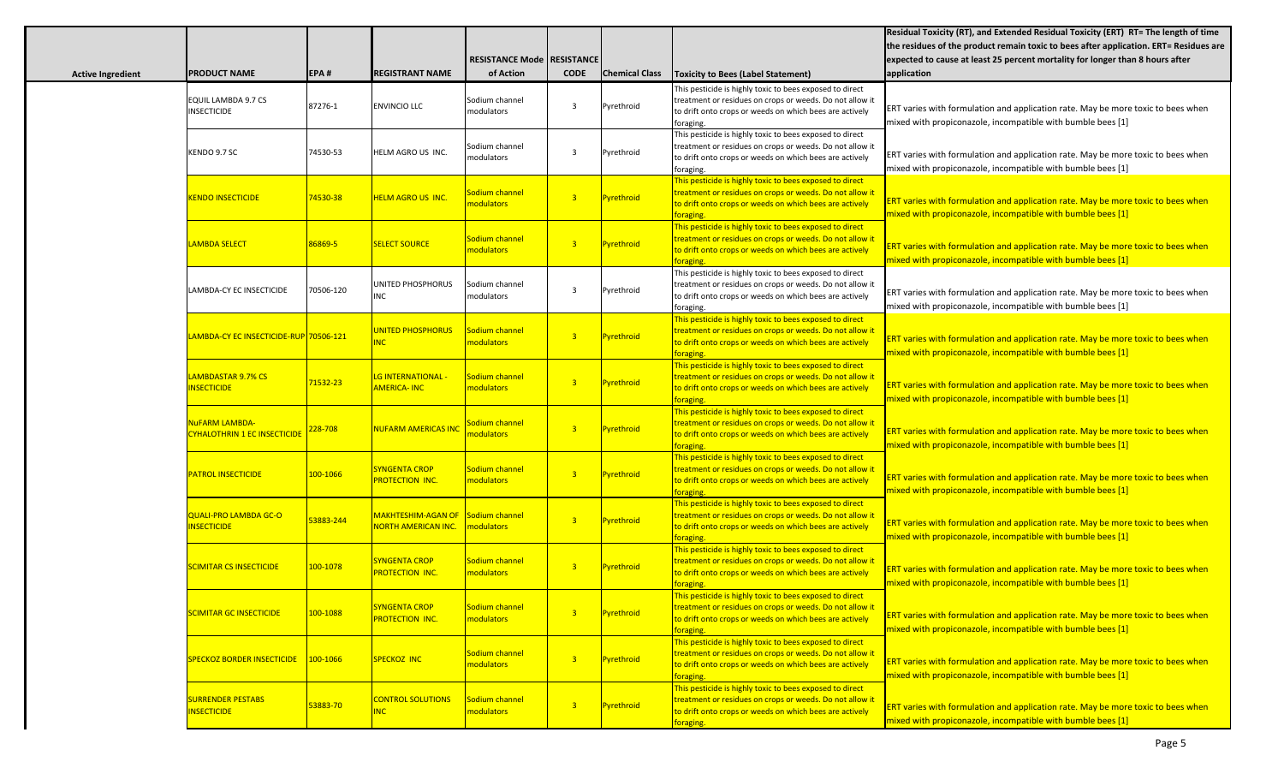|                          |                                                              |           |                                                          |                                     |                |                       |                                                                                                                                                                                              | Residual Toxicity (RT), and Extended Residual Toxicity (ERT) RT= The length of time                                                             |
|--------------------------|--------------------------------------------------------------|-----------|----------------------------------------------------------|-------------------------------------|----------------|-----------------------|----------------------------------------------------------------------------------------------------------------------------------------------------------------------------------------------|-------------------------------------------------------------------------------------------------------------------------------------------------|
|                          |                                                              |           |                                                          |                                     |                |                       |                                                                                                                                                                                              | the residues of the product remain toxic to bees after application. ERT= Residues are                                                           |
|                          |                                                              |           |                                                          | <b>RESISTANCE Mode   RESISTANCE</b> |                |                       |                                                                                                                                                                                              | expected to cause at least 25 percent mortality for longer than 8 hours after                                                                   |
| <b>Active Ingredient</b> | <b>PRODUCT NAME</b>                                          | EPA#      | <b>REGISTRANT NAME</b>                                   | of Action                           | <b>CODE</b>    | <b>Chemical Class</b> | <b>Toxicity to Bees (Label Statement)</b>                                                                                                                                                    | application                                                                                                                                     |
|                          | EQUIL LAMBDA 9.7 CS<br><b>INSECTICIDE</b>                    | 87276-1   | <b>ENVINCIO LLC</b>                                      | Sodium channel<br>modulators        | 3              | Pyrethroid            | This pesticide is highly toxic to bees exposed to direct<br>treatment or residues on crops or weeds. Do not allow it<br>to drift onto crops or weeds on which bees are actively<br>foraging. | ERT varies with formulation and application rate. May be more toxic to bees when<br>mixed with propiconazole, incompatible with bumble bees [1] |
|                          | KENDO 9.7 SC                                                 | 74530-53  | HELM AGRO US INC.                                        | Sodium channel<br>modulators        | $\overline{3}$ | Pyrethroid            | This pesticide is highly toxic to bees exposed to direct<br>treatment or residues on crops or weeds. Do not allow it<br>to drift onto crops or weeds on which bees are actively<br>foraging. | ERT varies with formulation and application rate. May be more toxic to bees when<br>mixed with propiconazole, incompatible with bumble bees [1] |
|                          | <b>KENDO INSECTICIDE</b>                                     | 74530-38  | <b>HELM AGRO US INC.</b>                                 | Sodium channel<br>nodulators        | $\overline{3}$ | Pyrethroid            | This pesticide is highly toxic to bees exposed to direct<br>reatment or residues on crops or weeds. Do not allow it<br>to drift onto crops or weeds on which bees are actively<br>oraging.   | ERT varies with formulation and application rate. May be more toxic to bees when<br>mixed with propiconazole, incompatible with bumble bees [1] |
|                          | <b>LAMBDA SELECT</b>                                         | 86869-5   | <b>SELECT SOURCE</b>                                     | Sodium channel<br>nodulators        | $\overline{3}$ | Pyrethroid            | This pesticide is highly toxic to bees exposed to direct<br>reatment or residues on crops or weeds. Do not allow it<br>to drift onto crops or weeds on which bees are actively<br>oraging.   | ERT varies with formulation and application rate. May be more toxic to bees when<br>mixed with propiconazole, incompatible with bumble bees [1] |
|                          | LAMBDA-CY EC INSECTICIDE                                     | 70506-120 | UNITED PHOSPHORUS<br><b>INC</b>                          | Sodium channel<br>modulators        | 3              | Pyrethroid            | This pesticide is highly toxic to bees exposed to direct<br>treatment or residues on crops or weeds. Do not allow it<br>to drift onto crops or weeds on which bees are actively<br>foraging. | ERT varies with formulation and application rate. May be more toxic to bees when<br>mixed with propiconazole, incompatible with bumble bees [1] |
|                          |                                                              |           | <b>UNITED PHOSPHORUS</b><br><b>NC</b>                    | Sodium channel<br>modulators        | $\overline{3}$ | Pyrethroid            | This pesticide is highly toxic to bees exposed to direct<br>reatment or residues on crops or weeds. Do not allow it<br>to drift onto crops or weeds on which bees are actively<br>oraging.   | ERT varies with formulation and application rate. May be more toxic to bees when<br>mixed with propiconazole, incompatible with bumble bees [1] |
|                          | <b>AMBDASTAR 9.7% CS</b><br><b>INSECTICIDE</b>               | 71532-23  | <mark>LG INTERNATIONAL -</mark><br><b>AMERICA-INC</b>    | Sodium channel<br>modulators        | $\overline{3}$ | Pyrethroid            | This pesticide is highly toxic to bees exposed to direct<br>reatment or residues on crops or weeds. Do not allow it<br>to drift onto crops or weeds on which bees are actively<br>oraging.   | ERT varies with formulation and application rate. May be more toxic to bees when<br>mixed with propiconazole, incompatible with bumble bees [1] |
|                          | <b>NUFARM LAMBDA-</b><br><b>CYHALOTHRIN 1 EC INSECTICIDE</b> | 228-708   | <mark>NUFARM AMERICAS INC</mark>                         | odium channel<br>nodulators         | $\overline{3}$ | Pyrethroid            | This pesticide is highly toxic to bees exposed to direct<br>treatment or residues on crops or weeds. Do not allow it<br>to drift onto crops or weeds on which bees are actively<br>oraging.  | ERT varies with formulation and application rate. May be more toxic to bees when<br>mixed with propiconazole, incompatible with bumble bees [1] |
|                          | <b>PATROL INSECTICIDE</b>                                    | 100-1066  | <b>SYNGENTA CROP</b><br>PROTECTION INC.                  | Sodium channel<br>modulators        | $\overline{3}$ | Pyrethroid            | This pesticide is highly toxic to bees exposed to direct<br>treatment or residues on crops or weeds. Do not allow it<br>to drift onto crops or weeds on which bees are actively<br>oraging.  | ERT varies with formulation and application rate. May be more toxic to bees when<br>mixed with propiconazole, incompatible with bumble bees [1] |
|                          | <b>QUALI-PRO LAMBDA GC-O</b><br><b>INSECTICIDE</b>           | 53883-244 | MAKHTESHIM-AGAN OF Sodium channel<br>NORTH AMERICAN INC. | nodulators                          | $\overline{3}$ | Pyrethroid            | This pesticide is highly toxic to bees exposed to direct<br>treatment or residues on crops or weeds. Do not allow it<br>to drift onto crops or weeds on which bees are actively<br>oraging.  | ERT varies with formulation and application rate. May be more toxic to bees when<br>mixed with propiconazole, incompatible with bumble bees [1] |
|                          | <b>SCIMITAR CS INSECTICIDE</b>                               | 100-1078  | <b>SYNGENTA CROP</b><br>PROTECTION INC.                  | Sodium channel<br>modulators        | 3 <sup>7</sup> | Pyrethroid            | This pesticide is highly toxic to bees exposed to direct<br>reatment or residues on crops or weeds. Do not allow it<br>o drift onto crops or weeds on which bees are actively<br>oraging.    | ERT varies with formulation and application rate. May be more toxic to bees when<br>mixed with propiconazole, incompatible with bumble bees [1] |
|                          | <b>SCIMITAR GC INSECTICIDE</b>                               | 100-1088  | <b>SYNGENTA CROP</b><br>PROTECTION INC.                  | Sodium channel<br>modulators        | 3 <sup>7</sup> | Pyrethroid            | This pesticide is highly toxic to bees exposed to direct<br>treatment or residues on crops or weeds. Do not allow it<br>to drift onto crops or weeds on which bees are actively<br>foraging. | ERT varies with formulation and application rate. May be more toxic to bees when<br>mixed with propiconazole, incompatible with bumble bees [1] |
|                          | <b>SPECKOZ BORDER INSECTICIDE</b>                            | 100-1066  | <b>SPECKOZ INC</b>                                       | Sodium channel<br>modulators        | 3 <sup>7</sup> | Pyrethroid            | This pesticide is highly toxic to bees exposed to direct<br>treatment or residues on crops or weeds. Do not allow it<br>to drift onto crops or weeds on which bees are actively<br>foraging. | ERT varies with formulation and application rate. May be more toxic to bees when<br>mixed with propiconazole, incompatible with bumble bees [1] |
|                          | <b>SURRENDER PESTABS</b><br><b>INSECTICIDE</b>               | 53883-70  | <b>CONTROL SOLUTIONS</b><br><b>INC</b>                   | Sodium channel<br>modulators        | 3 <sup>7</sup> | Pyrethroid            | This pesticide is highly toxic to bees exposed to direct<br>treatment or residues on crops or weeds. Do not allow it<br>to drift onto crops or weeds on which bees are actively<br>foraging. | ERT varies with formulation and application rate. May be more toxic to bees when<br>mixed with propiconazole, incompatible with bumble bees [1] |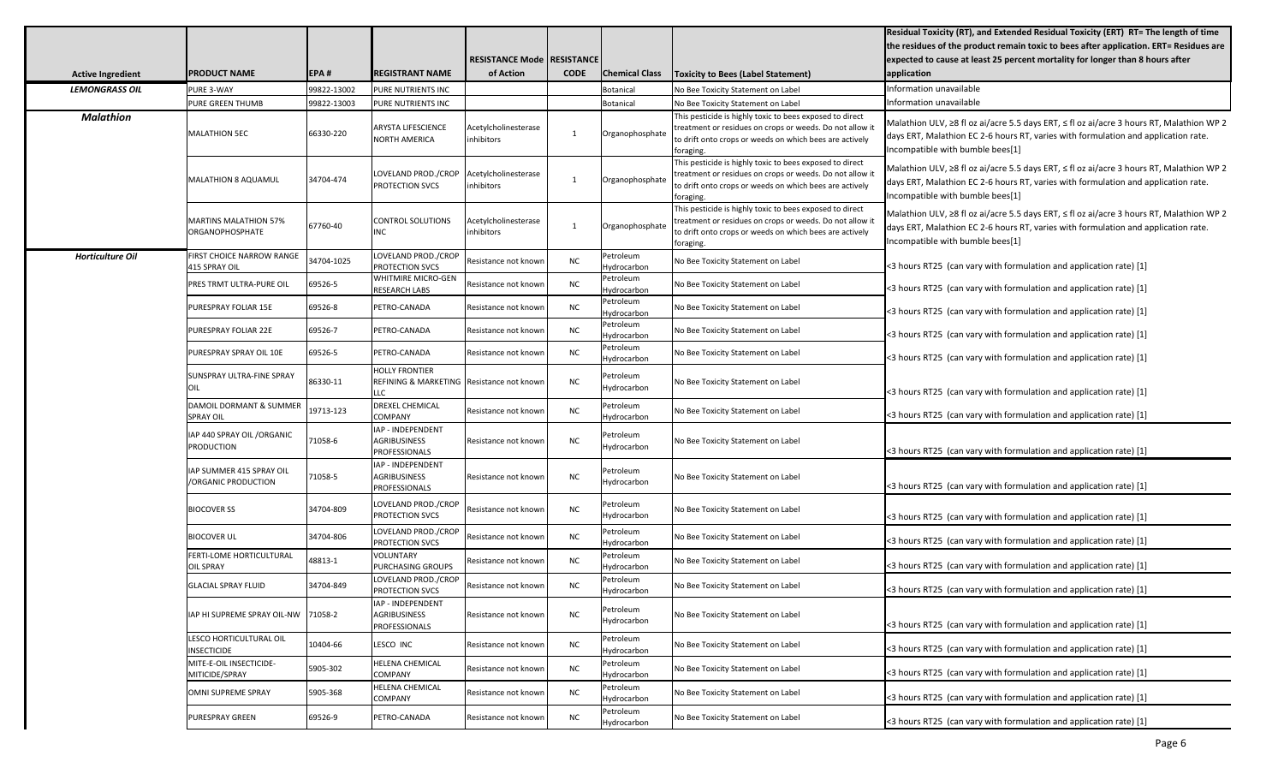|                          |                                                        |             |                                                                             |                                     |             |                          |                                                                                                                                                                                              | Residual Toxicity (RT), and Extended Residual Toxicity (ERT) RT= The length of time                                                                                                                                |
|--------------------------|--------------------------------------------------------|-------------|-----------------------------------------------------------------------------|-------------------------------------|-------------|--------------------------|----------------------------------------------------------------------------------------------------------------------------------------------------------------------------------------------|--------------------------------------------------------------------------------------------------------------------------------------------------------------------------------------------------------------------|
|                          |                                                        |             |                                                                             |                                     |             |                          |                                                                                                                                                                                              | the residues of the product remain toxic to bees after application. ERT= Residues are                                                                                                                              |
|                          |                                                        |             |                                                                             | <b>RESISTANCE Mode   RESISTANCE</b> |             |                          |                                                                                                                                                                                              | expected to cause at least 25 percent mortality for longer than 8 hours after                                                                                                                                      |
| <b>Active Ingredient</b> | <b>PRODUCT NAME</b>                                    | EPA#        | <b>REGISTRANT NAME</b>                                                      | of Action                           | <b>CODE</b> | <b>Chemical Class</b>    | <b>Toxicity to Bees (Label Statement)</b>                                                                                                                                                    | application                                                                                                                                                                                                        |
| <b>LEMONGRASS OIL</b>    | PURE 3-WAY                                             | 99822-13002 | PURE NUTRIENTS INC                                                          |                                     |             | Botanical                | No Bee Toxicity Statement on Label                                                                                                                                                           | Information unavailable                                                                                                                                                                                            |
|                          | PURE GREEN THUMB                                       | 99822-13003 | PURE NUTRIENTS INC                                                          |                                     |             | <b>Botanical</b>         | No Bee Toxicity Statement on Label                                                                                                                                                           | Information unavailable                                                                                                                                                                                            |
| <b>Malathion</b>         | <b>MALATHION 5EC</b>                                   | 66330-220   | <b>ARYSTA LIFESCIENCE</b><br>NORTH AMERICA                                  | Acetylcholinesterase<br>nhibitors   |             | Organophosphate          | This pesticide is highly toxic to bees exposed to direct<br>treatment or residues on crops or weeds. Do not allow it<br>to drift onto crops or weeds on which bees are actively<br>foraging. | Malathion ULV, ≥8 fl oz ai/acre 5.5 days ERT, ≤ fl oz ai/acre 3 hours RT, Malathion WP 2<br>days ERT, Malathion EC 2-6 hours RT, varies with formulation and application rate.<br>Incompatible with bumble bees[1] |
|                          | MALATHION 8 AQUAMUL                                    | 34704-474   | LOVELAND PROD./CROP<br>PROTECTION SVCS                                      | Acetylcholinesterase<br>nhibitors   |             | Organophosphate          | This pesticide is highly toxic to bees exposed to direct<br>reatment or residues on crops or weeds. Do not allow it<br>to drift onto crops or weeds on which bees are actively<br>foraging.  | Malathion ULV, ≥8 fl oz ai/acre 5.5 days ERT, ≤ fl oz ai/acre 3 hours RT, Malathion WP 2<br>days ERT, Malathion EC 2-6 hours RT, varies with formulation and application rate.<br>Incompatible with bumble bees[1] |
|                          | <b>MARTINS MALATHION 57%</b><br><b>ORGANOPHOSPHATE</b> | 67760-40    | CONTROL SOLUTIONS<br><b>INC</b>                                             | Acetylcholinesterase<br>nhibitors   |             | Organophosphate          | This pesticide is highly toxic to bees exposed to direct<br>reatment or residues on crops or weeds. Do not allow it<br>to drift onto crops or weeds on which bees are actively<br>foraging.  | Malathion ULV, ≥8 fl oz ai/acre 5.5 days ERT, ≤ fl oz ai/acre 3 hours RT, Malathion WP 2<br>days ERT, Malathion EC 2-6 hours RT, varies with formulation and application rate.<br>Incompatible with bumble bees[1] |
| Horticulture Oil         | FIRST CHOICE NARROW RANGE<br>415 SPRAY OIL             | 34704-1025  | LOVELAND PROD./CROP<br>PROTECTION SVCS                                      | Resistance not knowr                | <b>NC</b>   | Petroleum<br>Hydrocarbon | No Bee Toxicity Statement on Label                                                                                                                                                           | <3 hours RT25 (can vary with formulation and application rate) [1]                                                                                                                                                 |
|                          | PRES TRMT ULTRA-PURE OIL                               | 69526-5     | <b>WHITMIRE MICRO-GEN</b><br><b>RESEARCH LABS</b>                           | Resistance not known                | <b>NC</b>   | Petroleum<br>Hydrocarbon | No Bee Toxicity Statement on Label                                                                                                                                                           | <3 hours RT25 (can vary with formulation and application rate) [1]                                                                                                                                                 |
|                          | PURESPRAY FOLIAR 15E                                   | 69526-8     | PETRO-CANADA                                                                | Resistance not known                | <b>NC</b>   | Petroleum<br>Hydrocarbon | No Bee Toxicity Statement on Label                                                                                                                                                           | <3 hours RT25 (can vary with formulation and application rate) [1]                                                                                                                                                 |
|                          | PURESPRAY FOLIAR 22E                                   | 69526-7     | PETRO-CANADA                                                                | Resistance not known                | <b>NC</b>   | Petroleum<br>Hydrocarbon | No Bee Toxicity Statement on Label                                                                                                                                                           | <3 hours RT25 (can vary with formulation and application rate) [1]                                                                                                                                                 |
|                          | PURESPRAY SPRAY OIL 10E                                | 69526-5     | PETRO-CANADA                                                                | Resistance not known                | <b>NC</b>   | Petroleum<br>Hydrocarbon | No Bee Toxicity Statement on Label                                                                                                                                                           | <3 hours RT25 (can vary with formulation and application rate) [1]                                                                                                                                                 |
|                          | SUNSPRAY ULTRA-FINE SPRAY<br>IOIL                      | 86330-11    | <b>HOLLY FRONTIER</b><br>REFINING & MARKETING   Resistance not known<br>LLC |                                     | <b>NC</b>   | Petroleum<br>Hydrocarbon | No Bee Toxicity Statement on Label                                                                                                                                                           | <3 hours RT25 (can vary with formulation and application rate) [1]                                                                                                                                                 |
|                          | DAMOIL DORMANT & SUMMER<br><b>SPRAY OIL</b>            | 19713-123   | <b>DREXEL CHEMICAL</b><br><b>COMPANY</b>                                    | Resistance not known                | <b>NC</b>   | Petroleum<br>Hydrocarbon | No Bee Toxicity Statement on Label                                                                                                                                                           | <3 hours RT25 (can vary with formulation and application rate) [1]                                                                                                                                                 |
|                          | IAP 440 SPRAY OIL / ORGANIC<br><b>PRODUCTION</b>       | 71058-6     | IAP - INDEPENDENT<br><b>AGRIBUSINESS</b><br>PROFESSIONALS                   | Resistance not knowr                | <b>NC</b>   | Petroleum<br>Hydrocarbon | No Bee Toxicity Statement on Label                                                                                                                                                           | <3 hours RT25 (can vary with formulation and application rate) [1]                                                                                                                                                 |
|                          | IAP SUMMER 415 SPRAY OIL<br><b>/ORGANIC PRODUCTION</b> | 71058-5     | IAP - INDEPENDENT<br>AGRIBUSINESS<br>PROFESSIONALS                          | Resistance not known                | <b>NC</b>   | Petroleum<br>Hydrocarbon | No Bee Toxicity Statement on Label                                                                                                                                                           | <3 hours RT25 (can vary with formulation and application rate) [1]                                                                                                                                                 |
|                          | <b>BIOCOVER SS</b>                                     | 34704-809   | LOVELAND PROD./CROP<br>PROTECTION SVCS                                      | Resistance not knowr                | <b>NC</b>   | Petroleum<br>Hydrocarbon | No Bee Toxicity Statement on Label                                                                                                                                                           | <3 hours RT25 (can vary with formulation and application rate) [1]                                                                                                                                                 |
|                          | <b>BIOCOVER UL</b>                                     | 34704-806   | LOVELAND PROD./CROP<br>PROTECTION SVCS                                      | Resistance not knowr                | NC          | Petroleum<br>Hydrocarbon | No Bee Toxicity Statement on Label                                                                                                                                                           | <3 hours RT25 (can vary with formulation and application rate) [1]                                                                                                                                                 |
|                          | FERTI-LOME HORTICULTURAL<br><b>OIL SPRAY</b>           | 48813-1     | <b>VOLUNTARY</b><br>PURCHASING GROUPS                                       | Resistance not knowr                | <b>NC</b>   | Petroleum<br>Hydrocarbon | No Bee Toxicity Statement on Label                                                                                                                                                           | <3 hours RT25 (can vary with formulation and application rate) [1]                                                                                                                                                 |
|                          | <b>GLACIAL SPRAY FLUID</b>                             | 34704-849   | LOVELAND PROD./CROP<br>PROTECTION SVCS                                      | Resistance not knowr                | NC          | Petroleum<br>Hydrocarbon | No Bee Toxicity Statement on Label                                                                                                                                                           | <3 hours RT25 (can vary with formulation and application rate) [1]                                                                                                                                                 |
|                          | IAP HI SUPREME SPRAY OIL-NW                            | 71058-2     | IAP - INDEPENDENT<br>AGRIBUSINESS<br><b>PROFESSIONALS</b>                   | Resistance not known                | <b>NC</b>   | Petroleum<br>Hydrocarbon | No Bee Toxicity Statement on Label                                                                                                                                                           | <3 hours RT25 (can vary with formulation and application rate) [1]                                                                                                                                                 |
|                          | LESCO HORTICULTURAL OIL<br><b>INSECTICIDE</b>          | 10404-66    | LESCO INC                                                                   | Resistance not known                | <b>NC</b>   | Petroleum<br>Hydrocarbon | No Bee Toxicity Statement on Label                                                                                                                                                           | <3 hours RT25 (can vary with formulation and application rate) [1]                                                                                                                                                 |
|                          | MITE-E-OIL INSECTICIDE-<br>MITICIDE/SPRAY              | 5905-302    | HELENA CHEMICAL<br><b>COMPANY</b>                                           | Resistance not knowr                | <b>NC</b>   | Petroleum<br>Hydrocarbon | No Bee Toxicity Statement on Label                                                                                                                                                           | <3 hours RT25 (can vary with formulation and application rate) [1]                                                                                                                                                 |
|                          | OMNI SUPREME SPRAY                                     | 5905-368    | <b>HELENA CHEMICAL</b><br><b>COMPANY</b>                                    | Resistance not known                | <b>NC</b>   | Petroleum<br>Hydrocarbon | No Bee Toxicity Statement on Label                                                                                                                                                           | <3 hours RT25 (can vary with formulation and application rate) [1]                                                                                                                                                 |
|                          | PURESPRAY GREEN                                        | 69526-9     | PETRO-CANADA                                                                | Resistance not known                | NC          | Petroleum<br>Hydrocarbon | No Bee Toxicity Statement on Label                                                                                                                                                           | <3 hours RT25 (can vary with formulation and application rate) [1]                                                                                                                                                 |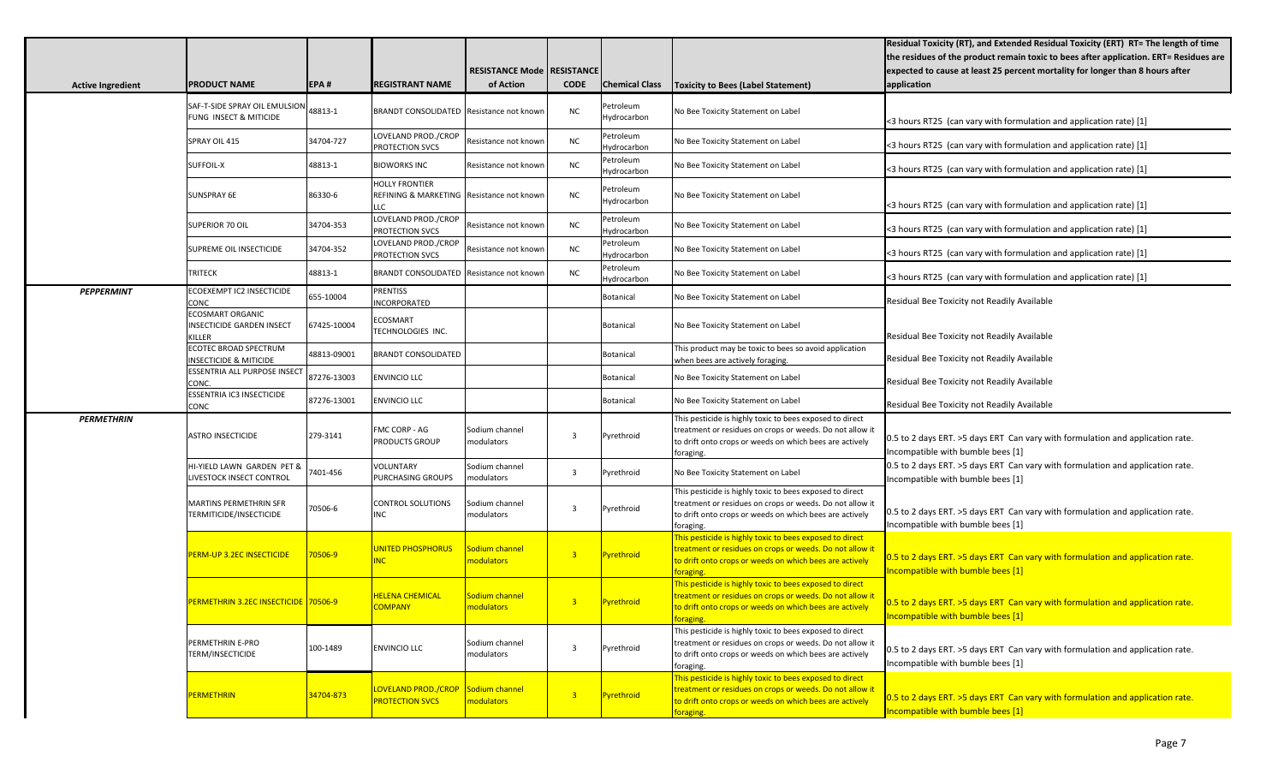| <b>Active Ingredient</b> | <b>PRODUCT NAME</b>                                                   | EPA#        | <b>REGISTRANT NAME</b>                                                    | <b>RESISTANCE Mode   RESISTANCE</b><br>of Action | <b>CODE</b>             | <b>Chemical Class</b>    | <b>Toxicity to Bees (Label Statement)</b>                                                                                                                                                    | Residual Toxicity (RT), and Extended Residual Toxicity (ERT) RT= The length of time<br>the residues of the product remain toxic to bees after application. ERT= Residues are<br>expected to cause at least 25 percent mortality for longer than 8 hours after<br>application |
|--------------------------|-----------------------------------------------------------------------|-------------|---------------------------------------------------------------------------|--------------------------------------------------|-------------------------|--------------------------|----------------------------------------------------------------------------------------------------------------------------------------------------------------------------------------------|------------------------------------------------------------------------------------------------------------------------------------------------------------------------------------------------------------------------------------------------------------------------------|
|                          | SAF-T-SIDE SPRAY OIL EMULSION<br>FUNG INSECT & MITICIDE               | 48813-1     | BRANDT CONSOLIDATED Resistance not known                                  |                                                  | <b>NC</b>               | Petroleum<br>Hydrocarbon | No Bee Toxicity Statement on Label                                                                                                                                                           | <3 hours RT25 (can vary with formulation and application rate) [1]                                                                                                                                                                                                           |
|                          | SPRAY OIL 415                                                         | 34704-727   | LOVELAND PROD./CROP<br>PROTECTION SVCS                                    | Resistance not known                             | NC                      | Petroleum<br>Hydrocarbon | No Bee Toxicity Statement on Label                                                                                                                                                           | <3 hours RT25 (can vary with formulation and application rate) [1]                                                                                                                                                                                                           |
|                          | SUFFOIL-X                                                             | 48813-1     | <b>BIOWORKS INC</b>                                                       | Resistance not known                             | <b>NC</b>               | Petroleum<br>Hydrocarbon | No Bee Toxicity Statement on Label                                                                                                                                                           | <3 hours RT25 (can vary with formulation and application rate) [1]                                                                                                                                                                                                           |
|                          | <b>SUNSPRAY 6E</b>                                                    | 86330-6     | <b>HOLLY FRONTIER</b><br>REFINING & MARKETING Resistance not known<br>LLC |                                                  | NC                      | Petroleum<br>Hydrocarbon | No Bee Toxicity Statement on Label                                                                                                                                                           | <3 hours RT25 (can vary with formulation and application rate) [1]                                                                                                                                                                                                           |
|                          | SUPERIOR 70 OIL                                                       | 34704-353   | LOVELAND PROD./CROP<br>PROTECTION SVCS                                    | Resistance not known                             | NC                      | Petroleum<br>Hydrocarbon | No Bee Toxicity Statement on Label                                                                                                                                                           | <3 hours RT25 (can vary with formulation and application rate) [1]                                                                                                                                                                                                           |
|                          | <b>SUPREME OIL INSECTICIDE</b>                                        | 34704-352   | LOVELAND PROD./CROP<br><b>PROTECTION SVCS</b>                             | Resistance not known                             | <b>NC</b>               | Petroleum<br>Hydrocarbon | No Bee Toxicity Statement on Label                                                                                                                                                           | <3 hours RT25 (can vary with formulation and application rate) [1]                                                                                                                                                                                                           |
|                          | <b>TRITECK</b>                                                        | 48813-1     | <b>BRANDT CONSOLIDATED</b>                                                | Resistance not knowr                             | <b>NC</b>               | Petroleum<br>Hydrocarbon | No Bee Toxicity Statement on Label                                                                                                                                                           | <3 hours RT25 (can vary with formulation and application rate) [1]                                                                                                                                                                                                           |
| <b>PEPPERMINT</b>        | ECOEXEMPT IC2 INSECTICIDE<br><b>CONC</b>                              | 655-10004   | <b>PRENTISS</b><br><b>INCORPORATED</b>                                    |                                                  |                         | Botanical                | No Bee Toxicity Statement on Label                                                                                                                                                           | Residual Bee Toxicity not Readily Available                                                                                                                                                                                                                                  |
|                          | <b>ECOSMART ORGANIC</b><br><b>INSECTICIDE GARDEN INSECT</b><br>KILLER | 67425-10004 | ECOSMART<br>TECHNOLOGIES INC.                                             |                                                  |                         | Botanical                | No Bee Toxicity Statement on Label                                                                                                                                                           | Residual Bee Toxicity not Readily Available                                                                                                                                                                                                                                  |
|                          | ECOTEC BROAD SPECTRUM<br><b>INSECTICIDE &amp; MITICIDE</b>            | 48813-09001 | <b>BRANDT CONSOLIDATED</b>                                                |                                                  |                         | Botanical                | This product may be toxic to bees so avoid application<br>when bees are actively foraging.                                                                                                   | Residual Bee Toxicity not Readily Available                                                                                                                                                                                                                                  |
|                          | ESSENTRIA ALL PURPOSE INSECT<br>CONC.                                 | 87276-13003 | <b>ENVINCIO LLC</b>                                                       |                                                  |                         | Botanical                | No Bee Toxicity Statement on Label                                                                                                                                                           | Residual Bee Toxicity not Readily Available                                                                                                                                                                                                                                  |
|                          | ESSENTRIA IC3 INSECTICIDE<br><b>CONC</b>                              | 87276-13001 | <b>ENVINCIO LLC</b>                                                       |                                                  |                         | Botanical                | No Bee Toxicity Statement on Label                                                                                                                                                           | Residual Bee Toxicity not Readily Available                                                                                                                                                                                                                                  |
| <b>PERMETHRIN</b>        | <b>ASTRO INSECTICIDE</b>                                              | 279-3141    | FMC CORP - AG<br>PRODUCTS GROUP                                           | Sodium channel<br>modulators                     | 3                       | Pyrethroid               | This pesticide is highly toxic to bees exposed to direct<br>treatment or residues on crops or weeds. Do not allow it<br>to drift onto crops or weeds on which bees are actively<br>foraging. | 0.5 to 2 days ERT. >5 days ERT Can vary with formulation and application rate.<br>Incompatible with bumble bees [1]                                                                                                                                                          |
|                          | HI-YIELD LAWN GARDEN PET &<br>LIVESTOCK INSECT CONTROL                | 7401-456    | VOLUNTARY<br>PURCHASING GROUPS                                            | Sodium channel<br>modulators                     | $\overline{\mathbf{3}}$ | Pyrethroid               | No Bee Toxicity Statement on Label                                                                                                                                                           | 0.5 to 2 days ERT. >5 days ERT Can vary with formulation and application rate.<br>ncompatible with bumble bees [1]                                                                                                                                                           |
|                          | MARTINS PERMETHRIN SFR<br>TERMITICIDE/INSECTICIDE                     | 70506-6     | CONTROL SOLUTIONS<br><b>INC</b>                                           | Sodium channel<br>modulators                     | 3                       | Pyrethroid               | This pesticide is highly toxic to bees exposed to direct<br>treatment or residues on crops or weeds. Do not allow it<br>to drift onto crops or weeds on which bees are actively<br>foraging. | 0.5 to 2 days ERT. >5 days ERT Can vary with formulation and application rate.<br>ncompatible with bumble bees [1]                                                                                                                                                           |
|                          | <b>PERM-UP 3.2EC INSECTICIDE</b>                                      | 70506-9     | <b>JNITED PHOSPHORUS</b><br><b>NC</b>                                     | Sodium channel<br>modulators                     | 3 <sup>°</sup>          | Pyrethroid               | his pesticide is highly toxic to bees exposed to direct<br>reatment or residues on crops or weeds. Do not allow it<br>to drift onto crops or weeds on which bees are actively<br>oraging.    | 0.5 to 2 days ERT. >5 days ERT Can vary with formulation and application rate.<br>Incompatible with bumble bees [1]                                                                                                                                                          |
|                          | PERMETHRIN 3.2EC INSECTICIDE 70506-9                                  |             | <b>HELENA CHEMICAL</b><br><b>COMPANY</b>                                  | Sodium channel<br>nodulators                     | 3 <sup>2</sup>          | Pyrethroid               | This pesticide is highly toxic to bees exposed to direct<br>treatment or residues on crops or weeds. Do not allow it<br>to drift onto crops or weeds on which bees are actively<br>foraging. | 0.5 to 2 days ERT. > 5 days ERT Can vary with formulation and application rate.<br>Incompatible with bumble bees [1]                                                                                                                                                         |
|                          | PERMETHRIN E-PRO<br>TERM/INSECTICIDE                                  | 100-1489    | <b>ENVINCIO LLC</b>                                                       | Sodium channel<br>modulators                     | $\overline{3}$          | Pyrethroid               | This pesticide is highly toxic to bees exposed to direct<br>treatment or residues on crops or weeds. Do not allow it<br>to drift onto crops or weeds on which bees are actively<br>foraging. | 0.5 to 2 days ERT. >5 days ERT Can vary with formulation and application rate.<br>Incompatible with bumble bees [1]                                                                                                                                                          |
|                          | PERMETHRIN                                                            | 34704-873   | LOVELAND PROD./CROP<br><b>PROTECTION SVCS</b>                             | Sodium channel<br>nodulators                     | $\overline{3}$          | Pyrethroid               | This pesticide is highly toxic to bees exposed to direct<br>treatment or residues on crops or weeds. Do not allow it<br>to drift onto crops or weeds on which bees are actively<br>foraging. | 0.5 to 2 days ERT. >5 days ERT Can vary with formulation and application rate.<br>Incompatible with bumble bees [1]                                                                                                                                                          |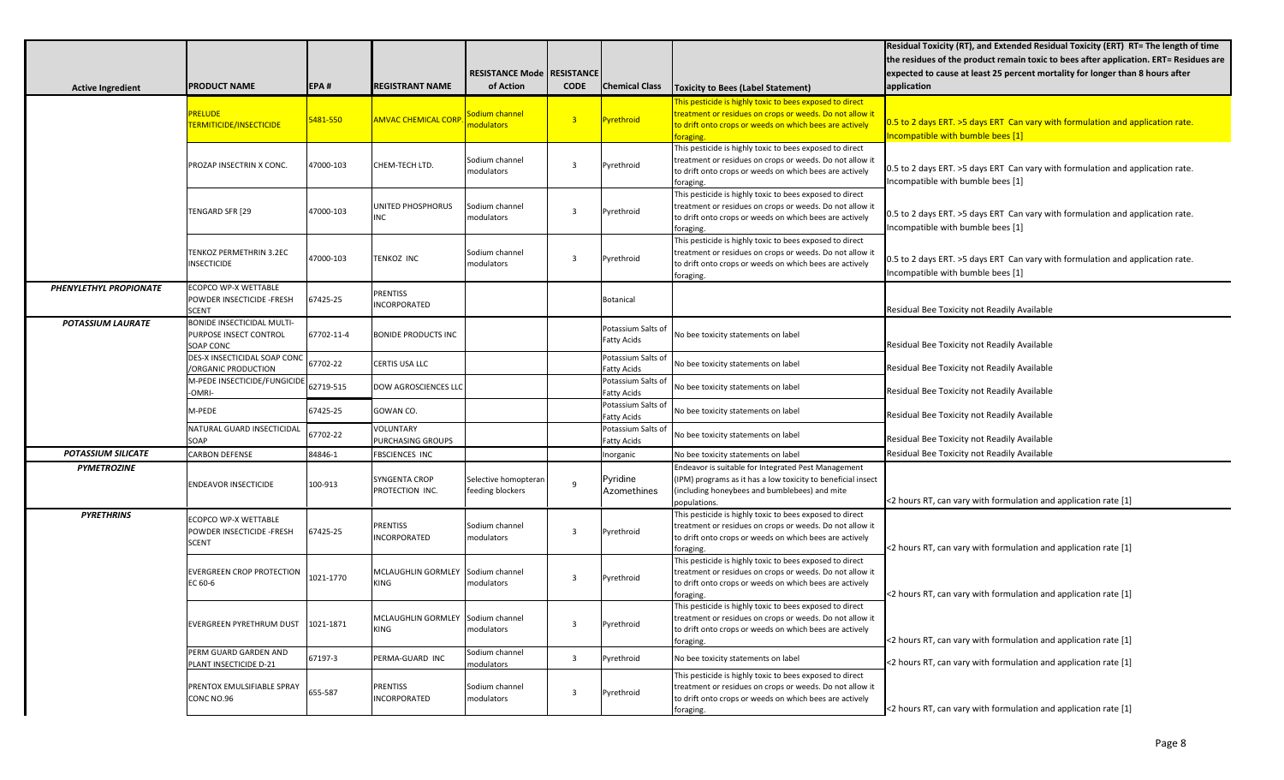|                           |                                                                          |            |                                           |                                          |                |                                          |                                                                                                                                                                                              | Residual Toxicity (RT), and Extended Residual Toxicity (ERT) RT= The length of time<br>the residues of the product remain toxic to bees after application. ERT= Residues are |
|---------------------------|--------------------------------------------------------------------------|------------|-------------------------------------------|------------------------------------------|----------------|------------------------------------------|----------------------------------------------------------------------------------------------------------------------------------------------------------------------------------------------|------------------------------------------------------------------------------------------------------------------------------------------------------------------------------|
|                           |                                                                          |            |                                           | RESISTANCE Mode   RESISTANCE             |                |                                          |                                                                                                                                                                                              | expected to cause at least 25 percent mortality for longer than 8 hours after                                                                                                |
| <b>Active Ingredient</b>  | <b>PRODUCT NAME</b>                                                      | EPA#       | <b>REGISTRANT NAME</b>                    | of Action                                | <b>CODE</b>    | <b>Chemical Class</b>                    | <b>Toxicity to Bees (Label Statement)</b>                                                                                                                                                    | application                                                                                                                                                                  |
|                           | RELUDE<br>TERMITICIDE/INSECTICIDE                                        | 5481-550   | <b>AMVAC CHEMICAL CORP</b>                | Sodium channel<br>nodulators             | $\overline{3}$ | Pyrethroid                               | This pesticide is highly toxic to bees exposed to direct<br>reatment or residues on crops or weeds. Do not allow it<br>to drift onto crops or weeds on which bees are actively<br>oraging.   | 0.5 to 2 days ERT. >5 days ERT Can vary with formulation and application rate.<br>Incompatible with bumble bees [1]                                                          |
|                           | PROZAP INSECTRIN X CONC.                                                 | 47000-103  | CHEM-TECH LTD.                            | Sodium channel<br>modulators             | 3              | Pyrethroid                               | This pesticide is highly toxic to bees exposed to direct<br>treatment or residues on crops or weeds. Do not allow it<br>to drift onto crops or weeds on which bees are actively<br>foraging. | 0.5 to 2 days ERT. >5 days ERT Can vary with formulation and application rate.<br>Incompatible with bumble bees [1]                                                          |
|                           | TENGARD SFR [29                                                          | 47000-103  | UNITED PHOSPHORUS<br>NC                   | Sodium channel<br>modulators             | 3              | Pyrethroid                               | This pesticide is highly toxic to bees exposed to direct<br>treatment or residues on crops or weeds. Do not allow it<br>to drift onto crops or weeds on which bees are actively<br>foraging. | 0.5 to 2 days ERT. >5 days ERT Can vary with formulation and application rate.<br>Incompatible with bumble bees [1]                                                          |
|                           | TENKOZ PERMETHRIN 3.2EC<br><b>INSECTICIDE</b>                            | 47000-103  | <b>TENKOZ INC</b>                         | Sodium channel<br>modulators             | 3              | Pyrethroid                               | This pesticide is highly toxic to bees exposed to direct<br>treatment or residues on crops or weeds. Do not allow it<br>to drift onto crops or weeds on which bees are actively<br>foraging. | 0.5 to 2 days ERT. >5 days ERT Can vary with formulation and application rate.<br>Incompatible with bumble bees [1]                                                          |
| PHENYLETHYL PROPIONATE    | ECOPCO WP-X WETTABLE<br>POWDER INSECTICIDE - FRESH<br><b>SCENT</b>       | 67425-25   | PRENTISS<br><b>NCORPORATED</b>            |                                          |                | Botanical                                |                                                                                                                                                                                              | Residual Bee Toxicity not Readily Available                                                                                                                                  |
| <b>POTASSIUM LAURATE</b>  | <b>BONIDE INSECTICIDAL MULTI-</b><br>PURPOSE INSECT CONTROL<br>SOAP CONC | 67702-11-4 | <b>BONIDE PRODUCTS INC</b>                |                                          |                | Potassium Salts of<br><b>Fatty Acids</b> | No bee toxicity statements on label                                                                                                                                                          | Residual Bee Toxicity not Readily Available                                                                                                                                  |
|                           | DES-X INSECTICIDAL SOAP CONC<br>/ORGANIC PRODUCTION                      | 67702-22   | CERTIS USA LLC                            |                                          |                | Potassium Salts of<br><b>Fatty Acids</b> | No bee toxicity statements on label                                                                                                                                                          | Residual Bee Toxicity not Readily Available                                                                                                                                  |
|                           | M-PEDE INSECTICIDE/FUNGICIDE<br>-OMRI-                                   | 62719-515  | DOW AGROSCIENCES LLC                      |                                          |                | Potassium Salts of<br><b>Fatty Acids</b> | No bee toxicity statements on label                                                                                                                                                          | Residual Bee Toxicity not Readily Available                                                                                                                                  |
|                           | M-PEDE                                                                   | 67425-25   | GOWAN CO.                                 |                                          |                | Potassium Salts of<br><b>Fatty Acids</b> | No bee toxicity statements on label                                                                                                                                                          | Residual Bee Toxicity not Readily Available                                                                                                                                  |
|                           | NATURAL GUARD INSECTICIDAL<br>SOAP                                       | 67702-22   | VOLUNTARY<br>PURCHASING GROUPS            |                                          |                | Potassium Salts of<br><b>Fatty Acids</b> | No bee toxicity statements on label                                                                                                                                                          | Residual Bee Toxicity not Readily Available                                                                                                                                  |
| <b>POTASSIUM SILICATE</b> | <b>CARBON DEFENSE</b>                                                    | 84846-1    | <b>FBSCIENCES INC</b>                     |                                          |                | Inorganic                                | No bee toxicity statements on label                                                                                                                                                          | Residual Bee Toxicity not Readily Available                                                                                                                                  |
| <b>PYMETROZINE</b>        | <b>ENDEAVOR INSECTICIDE</b>                                              | 100-913    | SYNGENTA CROP<br>PROTECTION INC.          | Selective homopteran<br>feeding blockers | q              | Pyridine<br>Azomethines                  | Endeavor is suitable for Integrated Pest Management<br>(IPM) programs as it has a low toxicity to beneficial insect<br>(including honeybees and bumblebees) and mite<br>populations.         | <2 hours RT, can vary with formulation and application rate [1]                                                                                                              |
| <b>PYRETHRINS</b>         | ECOPCO WP-X WETTABLE<br>POWDER INSECTICIDE - FRESH<br><b>SCENT</b>       | 67425-25   | PRENTISS<br>INCORPORATED                  | Sodium channel<br>modulators             | 3              | Pyrethroid                               | This pesticide is highly toxic to bees exposed to direct<br>treatment or residues on crops or weeds. Do not allow it<br>to drift onto crops or weeds on which bees are actively<br>foraging. | <2 hours RT, can vary with formulation and application rate [1]                                                                                                              |
|                           | <b>EVERGREEN CROP PROTECTION</b><br>EC 60-6                              | 1021-1770  | MCLAUGHLIN GORMLEY<br><b>KING</b>         | Sodium channel<br>modulators             | 3              | Pyrethroid                               | This pesticide is highly toxic to bees exposed to direct<br>treatment or residues on crops or weeds. Do not allow it<br>to drift onto crops or weeds on which bees are actively<br>foraging. | <2 hours RT, can vary with formulation and application rate [1]                                                                                                              |
|                           | <b>EVERGREEN PYRETHRUM DUST</b>                                          | 1021-1871  | MCLAUGHLIN GORMLEY Sodium channel<br>KING | modulators                               | 3              | Pyrethroid                               | This pesticide is highly toxic to bees exposed to direct<br>treatment or residues on crops or weeds. Do not allow it<br>to drift onto crops or weeds on which bees are actively<br>foraging. | <2 hours RT, can vary with formulation and application rate [1]                                                                                                              |
|                           | PERM GUARD GARDEN AND<br>PLANT INSECTICIDE D-21                          | 67197-3    | PERMA-GUARD INC                           | Sodium channel<br>modulators             | $\overline{3}$ | Pyrethroid                               | No bee toxicity statements on label                                                                                                                                                          | <2 hours RT, can vary with formulation and application rate [1]                                                                                                              |
|                           | PRENTOX EMULSIFIABLE SPRAY<br>CONC NO.96                                 | 655-587    | PRENTISS<br>INCORPORATED                  | Sodium channel<br>modulators             | 3              | Pyrethroid                               | This pesticide is highly toxic to bees exposed to direct<br>treatment or residues on crops or weeds. Do not allow it<br>to drift onto crops or weeds on which bees are actively<br>foraging. | <2 hours RT, can vary with formulation and application rate [1]                                                                                                              |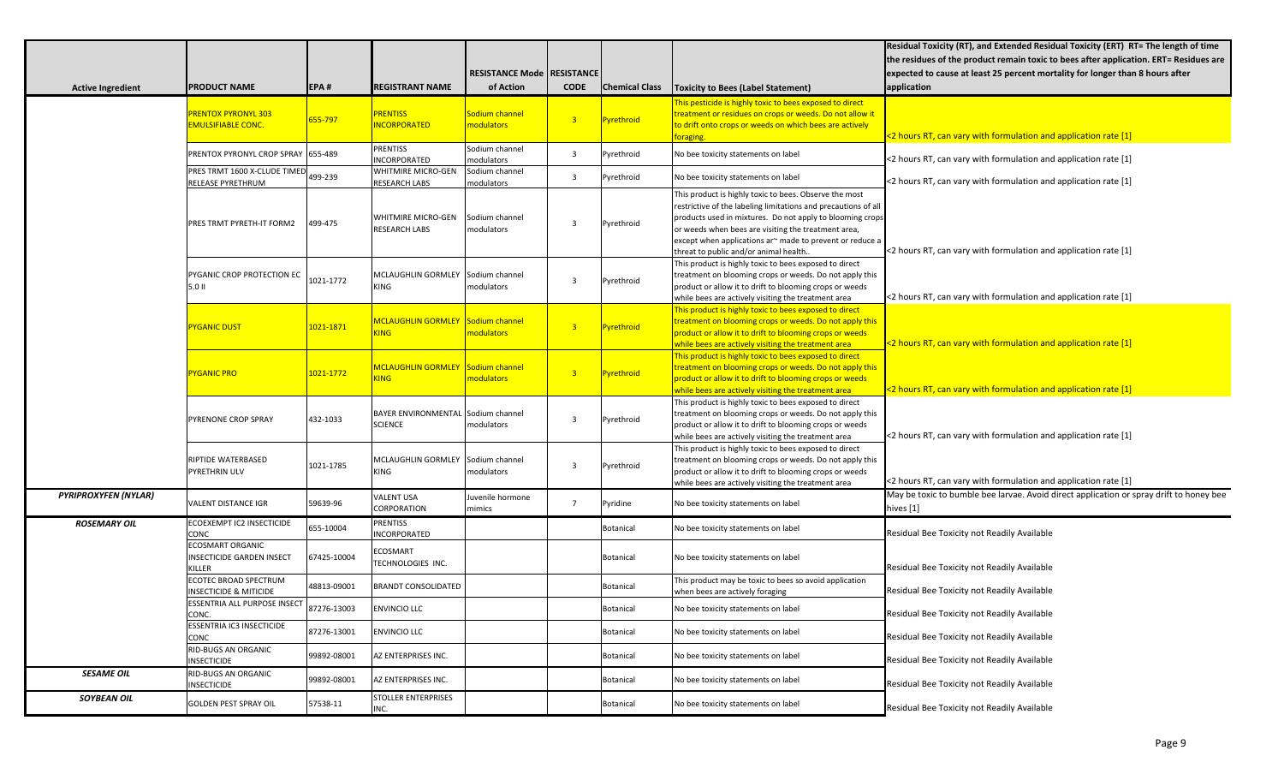| <b>Active Ingredient</b>    | <b>PRODUCT NAME</b>                                            | EPA#               | <b>REGISTRANT NAME</b>                               | <b>RESISTANCE Mode</b><br>of Action | <b>RESISTANCE</b><br><b>CODE</b> | <b>Chemical Class</b> | Toxicity to Bees (Label Statement)                                                                                                                                                                                                                                                                                                                 | Residual Toxicity (RT), and Extended Residual Toxicity (ERT) RT= The length of time<br>the residues of the product remain toxic to bees after application. ERT= Residues are<br>expected to cause at least 25 percent mortality for longer than 8 hours after<br>application |
|-----------------------------|----------------------------------------------------------------|--------------------|------------------------------------------------------|-------------------------------------|----------------------------------|-----------------------|----------------------------------------------------------------------------------------------------------------------------------------------------------------------------------------------------------------------------------------------------------------------------------------------------------------------------------------------------|------------------------------------------------------------------------------------------------------------------------------------------------------------------------------------------------------------------------------------------------------------------------------|
|                             | <b>PRENTOX PYRONYL 303</b><br><b>EMULSIFIABLE CONC.</b>        | 655-797            | <b>PRENTISS</b><br><b>NCORPORATED</b>                | Sodium channel<br>modulators        | $\overline{3}$                   | <b>Pyrethroid</b>     | This pesticide is highly toxic to bees exposed to direct<br>treatment or residues on crops or weeds. Do not allow it<br>to drift onto crops or weeds on which bees are actively<br>oraging.                                                                                                                                                        | <2 hours RT, can vary with formulation and application rate [1]                                                                                                                                                                                                              |
|                             | PRENTOX PYRONYL CROP SPRAY 655-489                             |                    | PRENTISS<br>INCORPORATED                             | Sodium channel<br>modulators        | $\overline{3}$                   | Pyrethroid            | No bee toxicity statements on label                                                                                                                                                                                                                                                                                                                | <2 hours RT, can vary with formulation and application rate [1]                                                                                                                                                                                                              |
|                             | PRES TRMT 1600 X-CLUDE TIMED<br><b>RELEASE PYRETHRUM</b>       | 499-239            | <b>WHITMIRE MICRO-GEN</b><br><b>RESEARCH LABS</b>    | Sodium channel<br>nodulators        | 3                                | Pyrethroid            | No bee toxicity statements on label                                                                                                                                                                                                                                                                                                                | <2 hours RT, can vary with formulation and application rate [1]                                                                                                                                                                                                              |
|                             | PRES TRMT PYRETH-IT FORM2                                      | 499-475            | WHITMIRE MICRO-GEN<br><b>RESEARCH LABS</b>           | Sodium channel<br>modulators        |                                  | Pyrethroid            | This product is highly toxic to bees. Observe the most<br>restrictive of the labeling limitations and precautions of all<br>products used in mixtures. Do not apply to blooming crops<br>or weeds when bees are visiting the treatment area,<br>except when applications ar~ made to prevent or reduce a<br>threat to public and/or animal health. | <2 hours RT, can vary with formulation and application rate [1]                                                                                                                                                                                                              |
|                             | PYGANIC CROP PROTECTION EC<br>5.0 II                           | 1021-1772          | MCLAUGHLIN GORMLEY<br>KING                           | Sodium channel<br>modulators        | 3                                | Pyrethroid            | This product is highly toxic to bees exposed to direct<br>treatment on blooming crops or weeds. Do not apply this<br>product or allow it to drift to blooming crops or weeds<br>while bees are actively visiting the treatment area                                                                                                                | <2 hours RT, can vary with formulation and application rate [1]                                                                                                                                                                                                              |
|                             | <b>PYGANIC DUST</b>                                            | 1021-1871          | MCLAUGHLIN GORMLEY Sodium channel<br><b>ING</b>      | modulators                          | 3 <sup>7</sup>                   | Pyrethroid            | This product is highly toxic to bees exposed to direct<br>reatment on blooming crops or weeds. Do not apply this<br>product or allow it to drift to blooming crops or weeds<br>while bees are actively visiting the treatment area                                                                                                                 | <2 hours RT, can vary with formulation and application rate [1]                                                                                                                                                                                                              |
|                             | <b>PYGANIC PRO</b>                                             | <u> 1021-1772 </u> | MCLAUGHLIN GORMLEY Sodium channel<br><b>ING</b>      | modulators                          | 3 <sup>7</sup>                   | Pyrethroid            | This product is highly toxic to bees exposed to direct<br>reatment on blooming crops or weeds. Do not apply this<br>product or allow it to drift to blooming crops or weeds<br>while bees are actively visiting the treatment area                                                                                                                 | <2 hours RT, can vary with formulation and application rate [1]                                                                                                                                                                                                              |
|                             | PYRENONE CROP SPRAY                                            | 432-1033           | BAYER ENVIRONMENTAL Sodium channel<br><b>SCIENCE</b> | modulators                          | 3                                | Pyrethroid            | This product is highly toxic to bees exposed to direct<br>treatment on blooming crops or weeds. Do not apply this<br>product or allow it to drift to blooming crops or weeds<br>while bees are actively visiting the treatment area                                                                                                                | <2 hours RT, can vary with formulation and application rate [1]                                                                                                                                                                                                              |
|                             | RIPTIDE WATERBASED<br>PYRETHRIN ULV                            | 1021-1785          | MCLAUGHLIN GORMLEY<br>KING                           | Sodium channel<br>modulators        | -3                               | Pyrethroid            | This product is highly toxic to bees exposed to direct<br>treatment on blooming crops or weeds. Do not apply this<br>product or allow it to drift to blooming crops or weeds<br>while bees are actively visiting the treatment area                                                                                                                | <2 hours RT, can vary with formulation and application rate [1]                                                                                                                                                                                                              |
| <b>PYRIPROXYFEN (NYLAR)</b> | VALENT DISTANCE IGR                                            | 59639-96           | VALENT USA<br>CORPORATION                            | Juvenile hormone<br>mimics          | $\overline{7}$                   | Pyridine              | No bee toxicity statements on label                                                                                                                                                                                                                                                                                                                | May be toxic to bumble bee larvae. Avoid direct application or spray drift to honey bee<br>hives [1]                                                                                                                                                                         |
| <b>ROSEMARY OIL</b>         | ECOEXEMPT IC2 INSECTICIDE<br>CONC                              | 655-10004          | PRENTISS<br>INCORPORATED                             |                                     |                                  | <b>Botanical</b>      | No bee toxicity statements on label                                                                                                                                                                                                                                                                                                                | Residual Bee Toxicity not Readily Available                                                                                                                                                                                                                                  |
|                             | <b>ECOSMART ORGANIC</b><br>INSECTICIDE GARDEN INSECT<br>KILLER | 67425-10004        | ECOSMART<br><b><i>TECHNOLOGIES INC.</i></b>          |                                     |                                  | <b>Botanical</b>      | No bee toxicity statements on label                                                                                                                                                                                                                                                                                                                | Residual Bee Toxicity not Readily Available                                                                                                                                                                                                                                  |
|                             | ECOTEC BROAD SPECTRUM<br><b>INSECTICIDE &amp; MITICIDE</b>     | 48813-09001        | <b>BRANDT CONSOLIDATED</b>                           |                                     |                                  | <b>Botanical</b>      | This product may be toxic to bees so avoid application<br>when bees are actively foraging                                                                                                                                                                                                                                                          | Residual Bee Toxicity not Readily Available                                                                                                                                                                                                                                  |
|                             | <b>ESSENTRIA ALL PURPOSE INSECT</b><br>CONC.                   | 87276-13003        | <b>ENVINCIO LLC</b>                                  |                                     |                                  | Botanical             | No bee toxicity statements on label                                                                                                                                                                                                                                                                                                                | Residual Bee Toxicity not Readily Available                                                                                                                                                                                                                                  |
|                             | ESSENTRIA IC3 INSECTICIDE<br><b>CONC</b>                       | 87276-13001        | <b>ENVINCIO LLC</b>                                  |                                     |                                  | Botanical             | No bee toxicity statements on label                                                                                                                                                                                                                                                                                                                | Residual Bee Toxicity not Readily Available                                                                                                                                                                                                                                  |
|                             | RID-BUGS AN ORGANIC<br><b>INSECTICIDE</b>                      | 99892-08001        | AZ ENTERPRISES INC.                                  |                                     |                                  | Botanical             | No bee toxicity statements on label                                                                                                                                                                                                                                                                                                                | Residual Bee Toxicity not Readily Available                                                                                                                                                                                                                                  |
| <b>SESAME OIL</b>           | <b>RID-BUGS AN ORGANIC</b><br><b>INSECTICIDE</b>               | 99892-08001        | AZ ENTERPRISES INC.                                  |                                     |                                  | Botanical             | No bee toxicity statements on label                                                                                                                                                                                                                                                                                                                | Residual Bee Toxicity not Readily Available                                                                                                                                                                                                                                  |
| <b>SOYBEAN OIL</b>          | <b>GOLDEN PEST SPRAY OIL</b>                                   | 57538-11           | <b>STOLLER ENTERPRISES</b><br>INC.                   |                                     |                                  | Botanical             | No bee toxicity statements on label                                                                                                                                                                                                                                                                                                                | Residual Bee Toxicity not Readily Available                                                                                                                                                                                                                                  |